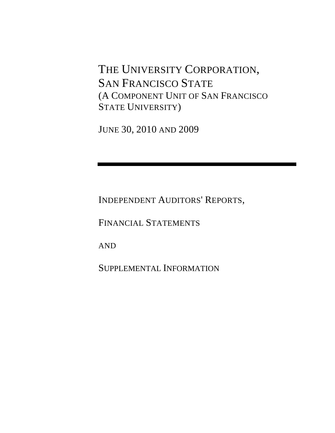THE UNIVERSITY CORPORATION, SAN FRANCISCO STATE (A COMPONENT UNIT OF SAN FRANCISCO STATE UNIVERSITY)

JUNE 30, 2010 AND 2009

INDEPENDENT AUDITORS' REPORTS,

FINANCIAL STATEMENTS

AND

SUPPLEMENTAL INFORMATION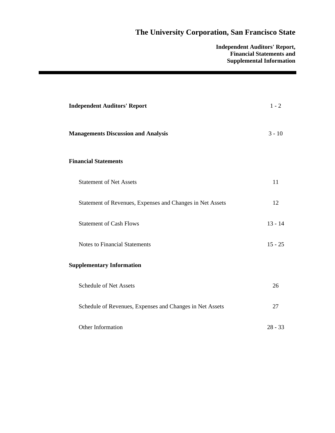**Independent Auditors' Report, Financial Statements and Supplemental Information** 

| <b>Independent Auditors' Report</b>                       | $1 - 2$   |
|-----------------------------------------------------------|-----------|
| <b>Managements Discussion and Analysis</b>                | $3 - 10$  |
| <b>Financial Statements</b>                               |           |
| <b>Statement of Net Assets</b>                            | 11        |
| Statement of Revenues, Expenses and Changes in Net Assets | 12        |
| <b>Statement of Cash Flows</b>                            | $13 - 14$ |
| <b>Notes to Financial Statements</b>                      | $15 - 25$ |
| <b>Supplementary Information</b>                          |           |
| <b>Schedule of Net Assets</b>                             | 26        |
| Schedule of Revenues, Expenses and Changes in Net Assets  | 27        |
| Other Information                                         | $28 - 33$ |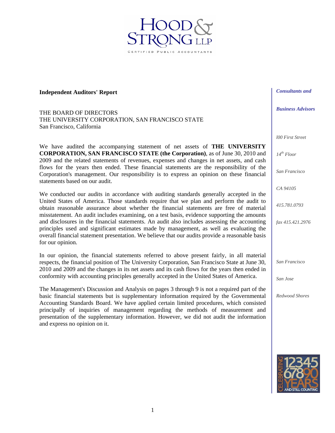**Independent Auditors' Report** 

THE BOARD OF DIRECTORS THE UNIVERSITY CORPORATION, SAN FRANCISCO STATE San Francisco, California

We have audited the accompanying statement of net assets of **THE UNIVERSITY CORPORATION, SAN FRANCISCO STATE (the Corporation)**, as of June 30, 2010 and 2009 and the related statements of revenues, expenses and changes in net assets, and cash flows for the years then ended. These financial statements are the responsibility of the Corporation's management. Our responsibility is to express an opinion on these financial statements based on our audit.

ED PUBLIC ACCOU

We conducted our audits in accordance with auditing standards generally accepted in the United States of America. Those standards require that we plan and perform the audit to obtain reasonable assurance about whether the financial statements are free of material misstatement. An audit includes examining, on a test basis, evidence supporting the amounts and disclosures in the financial statements. An audit also includes assessing the accounting principles used and significant estimates made by management, as well as evaluating the overall financial statement presentation. We believe that our audits provide a reasonable basis for our opinion.

In our opinion, the financial statements referred to above present fairly, in all material respects, the financial position of The University Corporation, San Francisco State at June 30, 2010 and 2009 and the changes in its net assets and its cash flows for the years then ended in conformity with accounting principles generally accepted in the United States of America.

The Management's Discussion and Analysis on pages 3 through 9 is not a required part of the basic financial statements but is supplementary information required by the Governmental Accounting Standards Board. We have applied certain limited procedures, which consisted principally of inquiries of management regarding the methods of measurement and presentation of the supplementary information. However, we did not audit the information and express no opinion on it.



*l00 First Street* 

*14th Floor* 

*San Francisco* 

*CA 94105* 

*415.781.0793* 

*fax 415.421.2976* 

*San Francisco* 

*San Jose* 

*Redwood Shores* 

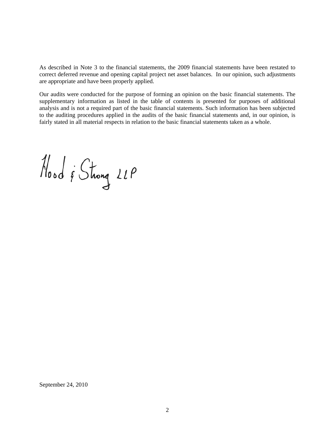As described in Note 3 to the financial statements, the 2009 financial statements have been restated to correct deferred revenue and opening capital project net asset balances. In our opinion, such adjustments are appropriate and have been properly applied.

Our audits were conducted for the purpose of forming an opinion on the basic financial statements. The supplementary information as listed in the table of contents is presented for purposes of additional analysis and is not a required part of the basic financial statements. Such information has been subjected to the auditing procedures applied in the audits of the basic financial statements and, in our opinion, is fairly stated in all material respects in relation to the basic financial statements taken as a whole.

Nood & Strong 21P

September 24, 2010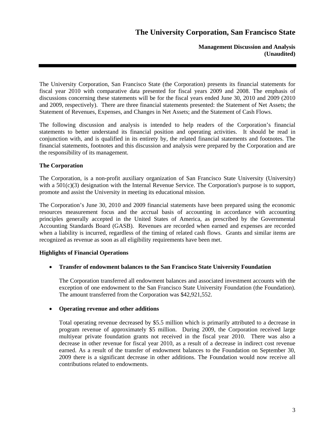**Management Discussion and Analysis (Unaudited)** 

The University Corporation, San Francisco State (the Corporation) presents its financial statements for fiscal year 2010 with comparative data presented for fiscal years 2009 and 2008. The emphasis of discussions concerning these statements will be for the fiscal years ended June 30, 2010 and 2009 (2010 and 2009, respectively). There are three financial statements presented: the Statement of Net Assets; the Statement of Revenues, Expenses, and Changes in Net Assets; and the Statement of Cash Flows.

The following discussion and analysis is intended to help readers of the Corporation's financial statements to better understand its financial position and operating activities. It should be read in conjunction with, and is qualified in its entirety by, the related financial statements and footnotes. The financial statements, footnotes and this discussion and analysis were prepared by the Corporation and are the responsibility of its management.

## **The Corporation**

The Corporation, is a non-profit auxiliary organization of San Francisco State University (University) with a 501(c)(3) designation with the Internal Revenue Service. The Corporation's purpose is to support, promote and assist the University in meeting its educational mission.

The Corporation's June 30, 2010 and 2009 financial statements have been prepared using the economic resources measurement focus and the accrual basis of accounting in accordance with accounting principles generally accepted in the United States of America, as prescribed by the Governmental Accounting Standards Board (GASB). Revenues are recorded when earned and expenses are recorded when a liability is incurred, regardless of the timing of related cash flows. Grants and similar items are recognized as revenue as soon as all eligibility requirements have been met.

### **Highlights of Financial Operations**

### **Transfer of endowment balances to the San Francisco State University Foundation**

The Corporation transferred all endowment balances and associated investment accounts with the exception of one endowment to the San Francisco State University Foundation (the Foundation). The amount transferred from the Corporation was \$42,921,552.

### **Operating revenue and other additions**

Total operating revenue decreased by \$5.5 million which is primarily attributed to a decrease in program revenue of approximately \$5 million. During 2009, the Corporation received large multiyear private foundation grants not received in the fiscal year 2010. There was also a decrease in other revenue for fiscal year 2010, as a result of a decrease in indirect cost revenue earned. As a result of the transfer of endowment balances to the Foundation on September 30, 2009 there is a significant decrease in other additions. The Foundation would now receive all contributions related to endowments.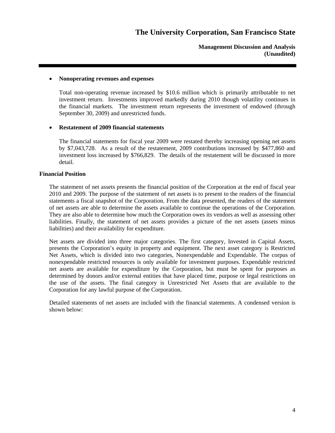**Management Discussion and Analysis (Unaudited)** 

#### **Nonoperating revenues and expenses**

Total non-operating revenue increased by \$10.6 million which is primarily attributable to net investment return. Investments improved markedly during 2010 though volatility continues in the financial markets. The investment return represents the investment of endowed (through September 30, 2009) and unrestricted funds.

#### **Restatement of 2009 financial statements**

The financial statements for fiscal year 2009 were restated thereby increasing opening net assets by \$7,043,728. As a result of the restatement, 2009 contributions increased by \$477,860 and investment loss increased by \$766,829. The details of the restatement will be discussed in more detail.

#### **Financial Position**

The statement of net assets presents the financial position of the Corporation at the end of fiscal year 2010 and 2009. The purpose of the statement of net assets is to present to the readers of the financial statements a fiscal snapshot of the Corporation. From the data presented, the readers of the statement of net assets are able to determine the assets available to continue the operations of the Corporation. They are also able to determine how much the Corporation owes its vendors as well as assessing other liabilities. Finally, the statement of net assets provides a picture of the net assets (assets minus liabilities) and their availability for expenditure.

Net assets are divided into three major categories. The first category, Invested in Capital Assets, presents the Corporation's equity in property and equipment. The next asset category is Restricted Net Assets, which is divided into two categories, Nonexpendable and Expendable. The corpus of nonexpendable restricted resources is only available for investment purposes. Expendable restricted net assets are available for expenditure by the Corporation, but must be spent for purposes as determined by donors and/or external entities that have placed time, purpose or legal restrictions on the use of the assets. The final category is Unrestricted Net Assets that are available to the Corporation for any lawful purpose of the Corporation.

Detailed statements of net assets are included with the financial statements. A condensed version is shown below: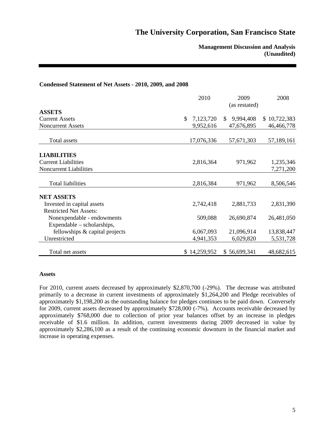### **Management Discussion and Analysis (Unaudited)**

#### **Condensed Statement of Net Assets - 2010, 2009, and 2008**

|                                | 2010            | 2009<br>(as restated) | 2008         |
|--------------------------------|-----------------|-----------------------|--------------|
| <b>ASSETS</b>                  |                 |                       |              |
| <b>Current Assets</b>          | \$<br>7,123,720 | 9,994,408<br>S.       | \$10,722,383 |
| <b>Noncurrent Assets</b>       | 9,952,616       | 47,676,895            | 46,466,778   |
| Total assets                   | 17,076,336      | 57,671,303            | 57,189,161   |
| <b>LIABILITIES</b>             |                 |                       |              |
| <b>Current Liabilities</b>     | 2,816,364       | 971,962               | 1,235,346    |
| <b>Noncurrent Liabilities</b>  |                 |                       | 7,271,200    |
| <b>Total liabilities</b>       | 2,816,384       | 971,962               | 8,506,546    |
| <b>NET ASSETS</b>              |                 |                       |              |
| Invested in capital assets     | 2,742,418       | 2,881,733             | 2,831,390    |
| <b>Restricted Net Assets:</b>  |                 |                       |              |
| Nonexpendable - endowments     | 509,088         | 26,690,874            | 26,481,050   |
| Expendable – scholarships,     |                 |                       |              |
| fellowships & capital projects | 6,067,093       | 21,096,914            | 13,838,447   |
| Unrestricted                   | 4,941,353       | 6,029,820             | 5,531,728    |
| Total net assets               | \$14,259,952    | \$56,699,341          | 48,682,615   |

#### **Assets**

For 2010, current assets decreased by approximately \$2,870,700 (-29%). The decrease was attributed primarily to a decrease in current investments of approximately \$1,264,200 and Pledge receivables of approximately \$1,198,200 as the outstanding balance for pledges continues to be paid down. Conversely for 2009, current assets decreased by approximately \$728,000 (-7%). Accounts receivable decreased by approximately \$768,000 due to collection of prior year balances offset by an increase in pledges receivable of \$1.6 million. In addition, current investments during 2009 decreased in value by approximately \$2,286,100 as a result of the continuing economic downturn in the financial market and increase in operating expenses.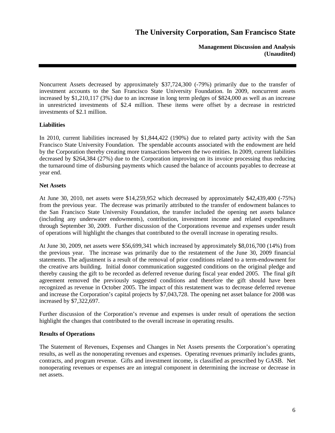**Management Discussion and Analysis (Unaudited)** 

Noncurrent Assets decreased by approximately \$37,724,300 (-79%) primarily due to the transfer of investment accounts to the San Francisco State University Foundation. In 2009, noncurrent assets increased by \$1,210,117 (3%) due to an increase in long term pledges of \$824,000 as well as an increase in unrestricted investments of \$2.4 million. These items were offset by a decrease in restricted investments of \$2.1 million.

## **Liabilities**

In 2010, current liabilities increased by \$1,844,422 (190%) due to related party activity with the San Francisco State University Foundation. The spendable accounts associated with the endowment are held by the Corporation thereby creating more transactions between the two entities. In 2009, current liabilities decreased by \$264,384 (27%) due to the Corporation improving on its invoice processing thus reducing the turnaround time of disbursing payments which caused the balance of accounts payables to decrease at year end.

## **Net Assets**

At June 30, 2010, net assets were \$14,259,952 which decreased by approximately \$42,439,400 (-75%) from the previous year. The decrease was primarily attributed to the transfer of endowment balances to the San Francisco State University Foundation, the transfer included the opening net assets balance (including any underwater endowments), contribution, investment income and related expenditures through September 30, 2009. Further discussion of the Corporations revenue and expenses under result of operations will highlight the changes that contributed to the overall increase in operating results.

At June 30, 2009, net assets were \$56,699,341 which increased by approximately \$8,016,700 (14%) from the previous year. The increase was primarily due to the restatement of the June 30, 2009 financial statements. The adjustment is a result of the removal of prior conditions related to a term-endowment for the creative arts building. Initial donor communication suggested conditions on the original pledge and thereby causing the gift to be recorded as deferred revenue during fiscal year ended 2005. The final gift agreement removed the previously suggested conditions and therefore the gift should have been recognized as revenue in October 2005. The impact of this restatement was to decrease deferred revenue and increase the Corporation's capital projects by \$7,043,728. The opening net asset balance for 2008 was increased by \$7,322,697.

Further discussion of the Corporation's revenue and expenses is under result of operations the section highlight the changes that contributed to the overall increase in operating results.

### **Results of Operations**

The Statement of Revenues, Expenses and Changes in Net Assets presents the Corporation's operating results, as well as the nonoperating revenues and expenses. Operating revenues primarily includes grants, contracts, and program revenue. Gifts and investment income, is classified as prescribed by GASB. Net nonoperating revenues or expenses are an integral component in determining the increase or decrease in net assets.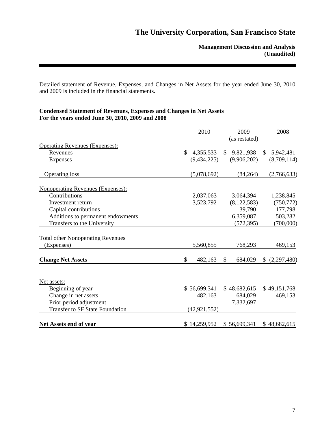**Management Discussion and Analysis (Unaudited)** 

Detailed statement of Revenue, Expenses, and Changes in Net Assets for the year ended June 30, 2010 and 2009 is included in the financial statements.

## **Condensed Statement of Revenues, Expenses and Changes in Net Assets For the years ended June 30, 2010, 2009 and 2008**

|                                                   | 2010            | 2009          |    | 2008         |
|---------------------------------------------------|-----------------|---------------|----|--------------|
|                                                   |                 | (as restated) |    |              |
| <b>Operating Revenues (Expenses):</b><br>Revenues | \$<br>4,355,533 | \$9,821,938   |    | \$5,942,481  |
|                                                   | (9, 434, 225)   | (9,906,202)   |    | (8,709,114)  |
| <b>Expenses</b>                                   |                 |               |    |              |
| <b>Operating loss</b>                             | (5,078,692)     | (84, 264)     |    | (2,766,633)  |
| <b>Nonoperating Revenues (Expenses):</b>          |                 |               |    |              |
| Contributions                                     | 2,037,063       | 3,064,394     |    | 1,238,845    |
| Investment return                                 | 3,523,792       | (8, 122, 583) |    | (750, 772)   |
| Capital contributions                             |                 | 39,790        |    | 177,798      |
| Additions to permanent endowments                 |                 | 6,359,087     |    | 503,282      |
| Transfers to the University                       |                 | (572, 395)    |    | (700,000)    |
| <b>Total other Nonoperating Revenues</b>          |                 |               |    |              |
| (Expenses)                                        | 5,560,855       | 768,293       |    | 469,153      |
| <b>Change Net Assets</b>                          | \$<br>482,163   | \$<br>684,029 | S. | (2,297,480)  |
|                                                   |                 |               |    |              |
| Net assets:                                       |                 |               |    |              |
| Beginning of year                                 | \$56,699,341    | \$48,682,615  |    | \$49,151,768 |
| Change in net assets                              | 482,163         | 684,029       |    | 469,153      |
| Prior period adjustment                           |                 | 7,332,697     |    |              |
| <b>Transfer to SF State Foundation</b>            | (42, 921, 552)  |               |    |              |
| Net Assets end of year                            | \$14,259,952    | \$56,699,341  |    | \$48,682,615 |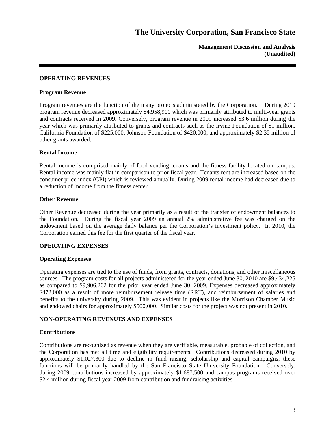**Management Discussion and Analysis (Unaudited)** 

#### **OPERATING REVENUES**

#### **Program Revenue**

Program revenues are the function of the many projects administered by the Corporation. During 2010 program revenue decreased approximately \$4,958,900 which was primarily attributed to multi-year grants and contracts received in 2009. Conversely, program revenue in 2009 increased \$3.6 million during the year which was primarily attributed to grants and contracts such as the Irvine Foundation of \$1 million, California Foundation of \$225,000, Johnson Foundation of \$420,000, and approximately \$2.35 million of other grants awarded.

#### **Rental Income**

Rental income is comprised mainly of food vending tenants and the fitness facility located on campus. Rental income was mainly flat in comparison to prior fiscal year. Tenants rent are increased based on the consumer price index (CPI) which is reviewed annually. During 2009 rental income had decreased due to a reduction of income from the fitness center.

#### **Other Revenue**

Other Revenue decreased during the year primarily as a result of the transfer of endowment balances to the Foundation. During the fiscal year 2009 an annual 2% administrative fee was charged on the endowment based on the average daily balance per the Corporation's investment policy. In 2010, the Corporation earned this fee for the first quarter of the fiscal year.

### **OPERATING EXPENSES**

### **Operating Expenses**

Operating expenses are tied to the use of funds, from grants, contracts, donations, and other miscellaneous sources. The program costs for all projects administered for the year ended June 30, 2010 are \$9,434,225 as compared to \$9,906,202 for the prior year ended June 30, 2009. Expenses decreased approximately \$472,000 as a result of more reimbursement release time (RRT), and reimbursement of salaries and benefits to the university during 2009. This was evident in projects like the Morrison Chamber Music and endowed chairs for approximately \$500,000. Similar costs for the project was not present in 2010.

### **NON-OPERATING REVENUES AND EXPENSES**

### **Contributions**

Contributions are recognized as revenue when they are verifiable, measurable, probable of collection, and the Corporation has met all time and eligibility requirements. Contributions decreased during 2010 by approximately \$1,027,300 due to decline in fund raising, scholarship and capital campaigns; these functions will be primarily handled by the San Francisco State University Foundation. Conversely, during 2009 contributions increased by approximately \$1,687,500 and campus programs received over \$2.4 million during fiscal year 2009 from contribution and fundraising activities.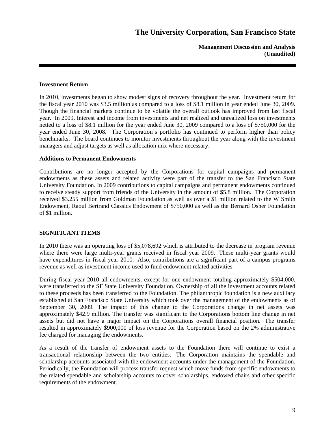**Management Discussion and Analysis (Unaudited)** 

#### **Investment Return**

In 2010, investments began to show modest signs of recovery throughout the year. Investment return for the fiscal year 2010 was \$3.5 million as compared to a loss of \$8.1 million in year ended June 30, 2009. Though the financial markets continue to be volatile the overall outlook has improved from last fiscal year. In 2009, Interest and income from investments and net realized and unrealized loss on investments netted to a loss of \$8.1 million for the year ended June 30, 2009 compared to a loss of \$750,000 for the year ended June 30, 2008. The Corporation's portfolio has continued to perform higher than policy benchmarks. The board continues to monitor investments throughout the year along with the investment managers and adjust targets as well as allocation mix where necessary.

#### **Additions to Permanent Endowments**

Contributions are no longer accepted by the Corporations for capital campaigns and permanent endowments as these assets and related activity were part of the transfer to the San Francisco State University Foundation. In 2009 contributions to capital campaigns and permanent endowments continued to receive steady support from friends of the University in the amount of \$5.8 million. The Corporation received \$3.255 million from Goldman Foundation as well as over a \$1 million related to the W Smith Endowment, Raoul Bertrand Classics Endowment of \$750,000 as well as the Bernard Osher Foundation of \$1 million.

### **SIGNIFICANT ITEMS**

In 2010 there was an operating loss of \$5,078,692 which is attributed to the decrease in program revenue where there were large multi-year grants received in fiscal year 2009. These multi-year grants would have expenditures in fiscal year 2010. Also, contributions are a significant part of a campus programs revenue as well as investment income used to fund endowment related activities.

During fiscal year 2010 all endowments, except for one endowment totaling approximately \$504,000, were transferred to the SF State University Foundation. Ownership of all the investment accounts related to these proceeds has been transferred to the Foundation. The philanthropic foundation is a new auxiliary established at San Francisco State University which took over the management of the endowments as of September 30, 2009. The impact of this change to the Corporations change in net assets was approximately \$42.9 million. The transfer was significant to the Corporations bottom line change in net assets but did not have a major impact on the Corporations overall financial position. The transfer resulted in approximately \$900,000 of loss revenue for the Corporation based on the 2% administrative fee charged for managing the endowments.

As a result of the transfer of endowment assets to the Foundation there will continue to exist a transactional relationship between the two entities. The Corporation maintains the spendable and scholarship accounts associated with the endowment accounts under the management of the Foundation. Periodically, the Foundation will process transfer request which move funds from specific endowments to the related spendable and scholarship accounts to cover scholarships, endowed chairs and other specific requirements of the endowment.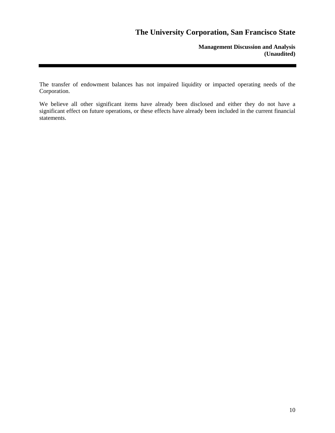**Management Discussion and Analysis (Unaudited)** 

The transfer of endowment balances has not impaired liquidity or impacted operating needs of the Corporation.

We believe all other significant items have already been disclosed and either they do not have a significant effect on future operations, or these effects have already been included in the current financial statements.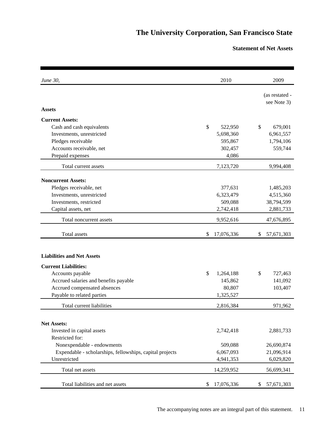## **Statement of Net Assets**

| June 30,                                                 | 2010             | 2009             |
|----------------------------------------------------------|------------------|------------------|
|                                                          |                  | (as restated -   |
|                                                          |                  | see Note 3)      |
| <b>Assets</b>                                            |                  |                  |
| <b>Current Assets:</b>                                   |                  |                  |
| Cash and cash equivalents                                | \$<br>522,950    | \$<br>679,001    |
| Investments, unrestricted                                | 5,698,360        | 6,961,557        |
| Pledges receivable                                       | 595,867          | 1,794,106        |
| Accounts receivable, net                                 | 302,457          | 559,744          |
| Prepaid expenses                                         | 4,086            |                  |
| Total current assets                                     | 7,123,720        | 9,994,408        |
| <b>Noncurrent Assets:</b>                                |                  |                  |
| Pledges receivable, net                                  | 377,631          | 1,485,203        |
| Investments, unrestricted                                | 6,323,479        | 4,515,360        |
| Investments, restricted                                  | 509,088          | 38,794,599       |
| Capital assets, net                                      | 2,742,418        | 2,881,733        |
| Total noncurrent assets                                  | 9,952,616        | 47,676,895       |
| Total assets                                             | 17,076,336<br>\$ | \$<br>57,671,303 |
|                                                          |                  |                  |
| <b>Liabilities and Net Assets</b>                        |                  |                  |
| <b>Current Liabilities:</b>                              |                  |                  |
| Accounts payable                                         | \$<br>1,264,188  | \$<br>727,463    |
| Accrued salaries and benefits payable                    | 145,862          | 141,092          |
| Accrued compensated absences                             | 80,807           | 103,407          |
| Payable to related parties                               | 1,325,527        |                  |
| Total current liabilities                                | 2,816,384        | 971,962          |
| <b>Net Assets:</b>                                       |                  |                  |
| Invested in capital assets                               | 2,742,418        |                  |
| Restricted for:                                          |                  | 2,881,733        |
| Nonexpendable - endowments                               | 509,088          | 26,690,874       |
| Expendable - scholarships, fellowships, capital projects | 6,067,093        | 21,096,914       |
| Unrestricted                                             | 4,941,353        | 6,029,820        |
| Total net assets                                         | 14,259,952       | 56,699,341       |
|                                                          |                  |                  |
| Total liabilities and net assets                         | 17,076,336<br>\$ | \$<br>57,671,303 |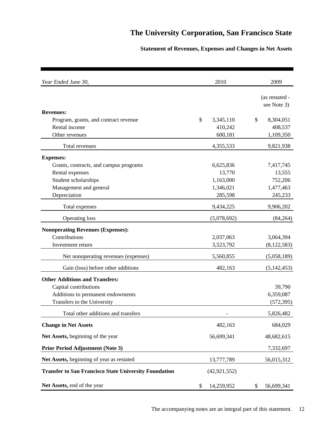## **Statement of Revenues, Expenses and Changes in Net Assets**

| Year Ended June 30,                                          | 2010             | 2009                          |
|--------------------------------------------------------------|------------------|-------------------------------|
|                                                              |                  | (as restated -<br>see Note 3) |
| <b>Revenues:</b>                                             |                  |                               |
| Program, grants, and contract revenue                        | \$<br>3,345,110  | \$<br>8,304,051               |
| Rental income                                                | 410,242          | 408,537                       |
| Other revenues                                               | 600,181          | 1,109,350                     |
| Total revenues                                               | 4,355,533        | 9,821,938                     |
| <b>Expenses:</b>                                             |                  |                               |
| Grants, contracts, and campus programs                       | 6,625,836        | 7,417,745                     |
| Rental expenses                                              | 13,770           | 13,555                        |
| Student scholarships                                         | 1,163,000        | 752,206                       |
| Management and general                                       | 1,346,021        | 1,477,463                     |
| Depreciation                                                 | 285,598          | 245,233                       |
| Total expenses                                               | 9,434,225        | 9,906,202                     |
| <b>Operating loss</b>                                        | (5,078,692)      | (84,264)                      |
| <b>Nonoperating Revenues (Expenses):</b>                     |                  |                               |
| Contributions                                                | 2,037,063        | 3,064,394                     |
| Investment return                                            | 3,523,792        | (8, 122, 583)                 |
| Net nonoperating revenues (expenses)                         | 5,560,855        | (5,058,189)                   |
| Gain (loss) before other additions                           | 482,163          | (5, 142, 453)                 |
| <b>Other Additions and Transfers:</b>                        |                  |                               |
| Capital contributions                                        |                  | 39,790                        |
| Additions to permanent endowments                            |                  | 6,359,087                     |
| Transfers to the University                                  |                  | (572, 395)                    |
| Total other additions and transfers                          |                  | 5,826,482                     |
| <b>Change in Net Assets</b>                                  | 482,163          | 684,029                       |
| Net Assets, beginning of the year                            | 56,699,341       | 48,682,615                    |
| <b>Prior Period Adjustment (Note 3)</b>                      |                  | 7,332,697                     |
| Net Assets, beginning of year as restated                    | 13,777,789       | 56,015,312                    |
| <b>Transfer to San Francisco State University Foundation</b> | (42, 921, 552)   |                               |
| Net Assets, end of the year                                  | \$<br>14,259,952 | \$<br>56,699,341              |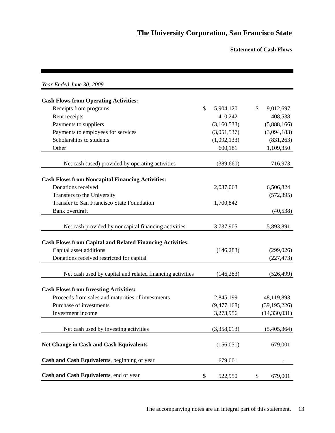**Statement of Cash Flows**

| Year Ended June 30, 2009                                         |                            |    |                |
|------------------------------------------------------------------|----------------------------|----|----------------|
| <b>Cash Flows from Operating Activities:</b>                     |                            |    |                |
| Receipts from programs                                           | $\mathcal{S}$<br>5,904,120 | \$ | 9,012,697      |
| Rent receipts                                                    | 410,242                    |    | 408,538        |
| Payments to suppliers                                            | (3,160,533)                |    | (5,888,166)    |
| Payments to employees for services                               | (3,051,537)                |    | (3,094,183)    |
| Scholarships to students                                         | (1,092,133)                |    | (831,263)      |
| Other                                                            | 600,181                    |    | 1,109,350      |
| Net cash (used) provided by operating activities                 | (389,660)                  |    | 716,973        |
|                                                                  |                            |    |                |
| <b>Cash Flows from Noncapital Financing Activities:</b>          |                            |    |                |
| Donations received                                               | 2,037,063                  |    | 6,506,824      |
| Transfers to the University                                      |                            |    | (572, 395)     |
| Transfer to San Francisco State Foundation                       | 1,700,842                  |    |                |
| Bank overdraft                                                   |                            |    | (40, 538)      |
| Net cash provided by noncapital financing activities             | 3,737,905                  |    | 5,893,891      |
| <b>Cash Flows from Capital and Related Financing Activities:</b> |                            |    |                |
| Capital asset additions                                          | (146, 283)                 |    | (299, 026)     |
| Donations received restricted for capital                        |                            |    | (227, 473)     |
|                                                                  |                            |    |                |
| Net cash used by capital and related financing activities        | (146, 283)                 |    | (526, 499)     |
| <b>Cash Flows from Investing Activities:</b>                     |                            |    |                |
| Proceeds from sales and maturities of investments                | 2,845,199                  |    | 48,119,893     |
| Purchase of investments                                          | (9,477,168)                |    | (39, 195, 226) |
| Investment income                                                | 3,273,956                  |    | (14,330,031)   |
|                                                                  |                            |    |                |
| Net cash used by investing activities                            | (3,358,013)                |    | (5,405,364)    |
| <b>Net Change in Cash and Cash Equivalents</b>                   | (156, 051)                 |    | 679,001        |
| Cash and Cash Equivalents, beginning of year                     | 679,001                    |    |                |
| Cash and Cash Equivalents, end of year                           | \$<br>522,950              | \$ | 679,001        |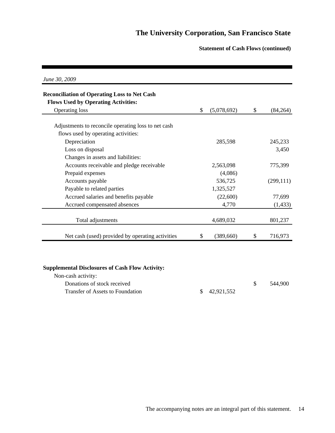## **Statement of Cash Flows (continued)**

| <b>Reconciliation of Operating Loss to Net Cash</b> |                  |               |
|-----------------------------------------------------|------------------|---------------|
| <b>Flows Used by Operating Activities:</b>          | \$               | \$            |
| <b>Operating loss</b>                               | (5,078,692)      | (84, 264)     |
| Adjustments to reconcile operating loss to net cash |                  |               |
| flows used by operating activities:                 |                  |               |
| Depreciation                                        | 285,598          | 245,233       |
| Loss on disposal                                    |                  | 3,450         |
| Changes in assets and liabilities:                  |                  |               |
| Accounts receivable and pledge receivable           | 2,563,098        | 775,399       |
| Prepaid expenses                                    | (4,086)          |               |
| Accounts payable                                    | 536,725          | (299, 111)    |
| Payable to related parties                          | 1,325,527        |               |
| Accrued salaries and benefits payable               | (22,600)         | 77,699        |
| Accrued compensated absences                        | 4,770            | (1, 433)      |
| Total adjustments                                   | 4,689,032        | 801,237       |
| Net cash (used) provided by operating activities    | \$<br>(389, 660) | \$<br>716,973 |

## **Supplemental Disclosures of Cash Flow Activity:**

| Non-cash activity:               |               |         |
|----------------------------------|---------------|---------|
| Donations of stock received      |               | 544.900 |
| Transfer of Assets to Foundation | \$ 42,921,552 |         |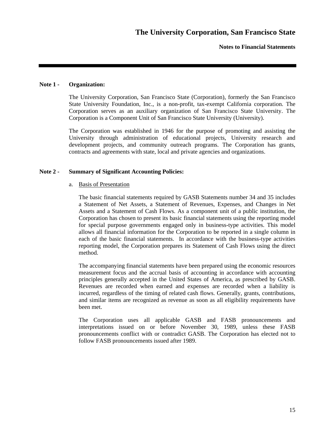### **Note 1 - Organization:**

The University Corporation, San Francisco State (Corporation), formerly the San Francisco State University Foundation, Inc., is a non-profit, tax-exempt California corporation. The Corporation serves as an auxiliary organization of San Francisco State University. The Corporation is a Component Unit of San Francisco State University (University).

The Corporation was established in 1946 for the purpose of promoting and assisting the University through administration of educational projects, University research and development projects, and community outreach programs. The Corporation has grants, contracts and agreements with state, local and private agencies and organizations.

### **Note 2 - Summary of Significant Accounting Policies:**

#### a. Basis of Presentation

The basic financial statements required by GASB Statements number 34 and 35 includes a Statement of Net Assets, a Statement of Revenues, Expenses, and Changes in Net Assets and a Statement of Cash Flows. As a component unit of a public institution, the Corporation has chosen to present its basic financial statements using the reporting model for special purpose governments engaged only in business-type activities. This model allows all financial information for the Corporation to be reported in a single column in each of the basic financial statements. In accordance with the business-type activities reporting model, the Corporation prepares its Statement of Cash Flows using the direct method.

The accompanying financial statements have been prepared using the economic resources measurement focus and the accrual basis of accounting in accordance with accounting principles generally accepted in the United States of America, as prescribed by GASB. Revenues are recorded when earned and expenses are recorded when a liability is incurred, regardless of the timing of related cash flows. Generally, grants, contributions, and similar items are recognized as revenue as soon as all eligibility requirements have been met.

The Corporation uses all applicable GASB and FASB pronouncements and interpretations issued on or before November 30, 1989, unless these FASB pronouncements conflict with or contradict GASB. The Corporation has elected not to follow FASB pronouncements issued after 1989.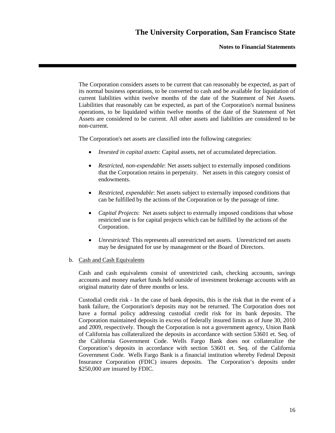**Notes to Financial Statements** 

The Corporation considers assets to be current that can reasonably be expected, as part of its normal business operations, to be converted to cash and be available for liquidation of current liabilities within twelve months of the date of the Statement of Net Assets. Liabilities that reasonably can be expected, as part of the Corporation's normal business operations, to be liquidated within twelve months of the date of the Statement of Net Assets are considered to be current. All other assets and liabilities are considered to be non-current.

The Corporation's net assets are classified into the following categories:

- *Invested in capital assets*: Capital assets, net of accumulated depreciation.
- *Restricted, non-expendable*: Net assets subject to externally imposed conditions that the Corporation retains in perpetuity. Net assets in this category consist of endowments.
- *Restricted, expendable*: Net assets subject to externally imposed conditions that can be fulfilled by the actions of the Corporation or by the passage of time.
- *Capital Projects*: Net assets subject to externally imposed conditions that whose restricted use is for capital projects which can be fulfilled by the actions of the Corporation.
- *Unrestricted*: This represents all unrestricted net assets. Unrestricted net assets may be designated for use by management or the Board of Directors.

### b. Cash and Cash Equivalents

Cash and cash equivalents consist of unrestricted cash, checking accounts, savings accounts and money market funds held outside of investment brokerage accounts with an original maturity date of three months or less.

Custodial credit risk - In the case of bank deposits, this is the risk that in the event of a bank failure, the Corporation's deposits may not be returned. The Corporation does not have a formal policy addressing custodial credit risk for its bank deposits. The Corporation maintained deposits in excess of federally insured limits as of June 30, 2010 and 2009, respectively. Though the Corporation is not a government agency, Union Bank of California has collateralized the deposits in accordance with section 53601 et. Seq. of the California Government Code. Wells Fargo Bank does not collateralize the Corporation's deposits in accordance with section 53601 et. Seq. of the California Government Code. Wells Fargo Bank is a financial institution whereby Federal Deposit Insurance Corporation (FDIC) insures deposits. The Corporation's deposits under \$250,000 are insured by FDIC.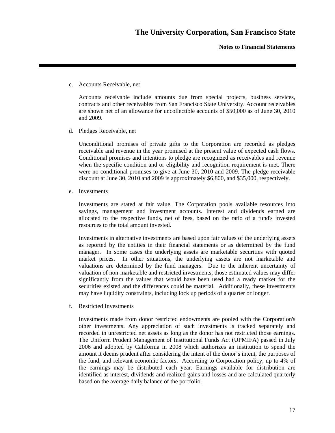### c. Accounts Receivable, net

Accounts receivable include amounts due from special projects, business services, contracts and other receivables from San Francisco State University. Account receivables are shown net of an allowance for uncollectible accounts of \$50,000 as of June 30, 2010 and 2009.

## d. Pledges Receivable, net

Unconditional promises of private gifts to the Corporation are recorded as pledges receivable and revenue in the year promised at the present value of expected cash flows. Conditional promises and intentions to pledge are recognized as receivables and revenue when the specific condition and or eligibility and recognition requirement is met. There were no conditional promises to give at June 30, 2010 and 2009. The pledge receivable discount at June 30, 2010 and 2009 is approximately \$6,800, and \$35,000, respectively.

### e. Investments

Investments are stated at fair value. The Corporation pools available resources into savings, management and investment accounts. Interest and dividends earned are allocated to the respective funds, net of fees, based on the ratio of a fund's invested resources to the total amount invested.

Investments in alternative investments are based upon fair values of the underlying assets as reported by the entities in their financial statements or as determined by the fund manager. In some cases the underlying assets are marketable securities with quoted market prices. In other situations, the underlying assets are not marketable and valuations are determined by the fund managers. Due to the inherent uncertainty of valuation of non-marketable and restricted investments, those estimated values may differ significantly from the values that would have been used had a ready market for the securities existed and the differences could be material. Additionally, these investments may have liquidity constraints, including lock up periods of a quarter or longer.

### f. Restricted Investments

Investments made from donor restricted endowments are pooled with the Corporation's other investments. Any appreciation of such investments is tracked separately and recorded in unrestricted net assets as long as the donor has not restricted those earnings. The Uniform Prudent Management of Institutional Funds Act (UPMIFA) passed in July 2006 and adopted by California in 2008 which authorizes an institution to spend the amount it deems prudent after considering the intent of the donor's intent, the purposes of the fund, and relevant economic factors. According to Corporation policy, up to 4% of the earnings may be distributed each year. Earnings available for distribution are identified as interest, dividends and realized gains and losses and are calculated quarterly based on the average daily balance of the portfolio.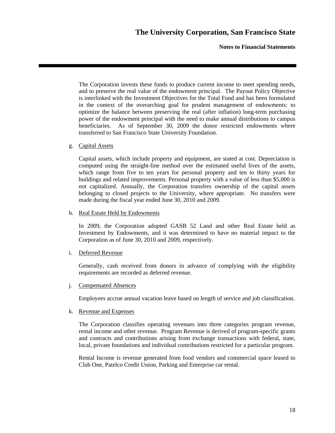**Notes to Financial Statements** 

The Corporation invests these funds to produce current income to meet spending needs, and to preserve the real value of the endowment principal. The Payout Policy Objective is interlinked with the Investment Objectives for the Total Fund and has been formulated in the context of the overarching goal for prudent management of endowments: to optimize the balance between preserving the real (after inflation) long-term purchasing power of the endowment principal with the need to make annual distributions to campus beneficiaries. As of September 30, 2009 the donor restricted endowments where transferred to San Francisco State University Foundation.

#### g. Capital Assets

Capital assets, which include property and equipment, are stated at cost. Depreciation is computed using the straight-line method over the estimated useful lives of the assets, which range from five to ten years for personal property and ten to thirty years for buildings and related improvements. Personal property with a value of less than \$5,000 is not capitalized. Annually, the Corporation transfers ownership of the capital assets belonging to closed projects to the University, where appropriate. No transfers were made during the fiscal year ended June 30, 2010 and 2009.

#### h. Real Estate Held by Endowments

In 2009, the Corporation adopted GASB 52 Land and other Real Estate held as Investment by Endowments, and it was determined to have no material impact to the Corporation as of June 30, 2010 and 2009, respectively.

#### i. Deferred Revenue

Generally, cash received from donors in advance of complying with the eligibility requirements are recorded as deferred revenue.

#### j. Compensated Absences

Employees accrue annual vacation leave based on length of service and job classification.

#### k. Revenue and Expenses

The Corporation classifies operating revenues into three categories program revenue, rental income and other revenue. Program Revenue is derived of program-specific grants and contracts and contributions arising from exchange transactions with federal, state, local, private foundations and individual contributions restricted for a particular program.

Rental Income is revenue generated from food vendors and commercial space leased to Club One, Patelco Credit Union, Parking and Enterprise car rental.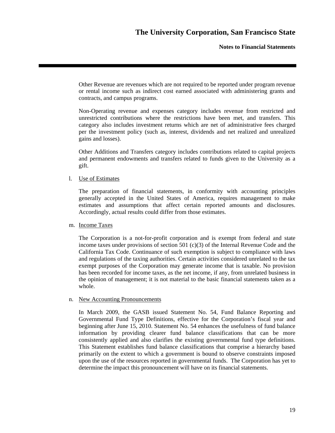Other Revenue are revenues which are not required to be reported under program revenue or rental income such as indirect cost earned associated with administering grants and contracts, and campus programs.

Non-Operating revenue and expenses category includes revenue from restricted and unrestricted contributions where the restrictions have been met, and transfers. This category also includes investment returns which are net of administrative fees charged per the investment policy (such as, interest, dividends and net realized and unrealized gains and losses).

Other Additions and Transfers category includes contributions related to capital projects and permanent endowments and transfers related to funds given to the University as a gift.

l. Use of Estimates

The preparation of financial statements, in conformity with accounting principles generally accepted in the United States of America, requires management to make estimates and assumptions that affect certain reported amounts and disclosures. Accordingly, actual results could differ from those estimates.

m. Income Taxes

The Corporation is a not-for-profit corporation and is exempt from federal and state income taxes under provisions of section 501 (c)(3) of the Internal Revenue Code and the California Tax Code. Continuance of such exemption is subject to compliance with laws and regulations of the taxing authorities. Certain activities considered unrelated to the tax exempt purposes of the Corporation may generate income that is taxable. No provision has been recorded for income taxes, as the net income, if any, from unrelated business in the opinion of management; it is not material to the basic financial statements taken as a whole.

### n. New Accounting Pronouncements

In March 2009, the GASB issued Statement No. 54, Fund Balance Reporting and Governmental Fund Type Definitions, effective for the Corporation's fiscal year and beginning after June 15, 2010. Statement No. 54 enhances the usefulness of fund balance information by providing clearer fund balance classifications that can be more consistently applied and also clarifies the existing governmental fund type definitions. This Statement establishes fund balance classifications that comprise a hierarchy based primarily on the extent to which a government is bound to observe constraints imposed upon the use of the resources reported in governmental funds. The Corporation has yet to determine the impact this pronouncement will have on its financial statements.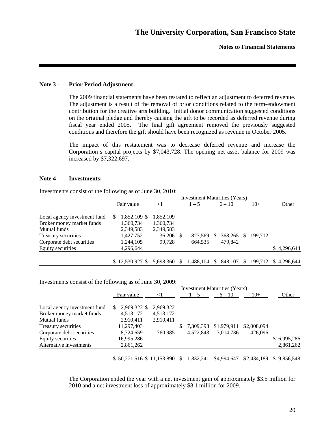### **Note 3 - Prior Period Adjustment:**

The 2009 financial statements have been restated to reflect an adjustment to deferred revenue. The adjustment is a result of the removal of prior conditions related to the term-endowment contribution for the creative arts building. Initial donor communication suggested conditions on the original pledge and thereby causing the gift to be recorded as deferred revenue during fiscal year ended 2005. The final gift agreement removed the previously suggested conditions and therefore the gift should have been recognized as revenue in October 2005.

The impact of this restatement was to decrease deferred revenue and increase the Corporation's capital projects by \$7,043,728. The opening net asset balance for 2009 was increased by \$7,322,697.

#### **Note 4 - Investments:**

|                              | <b>Investment Maturities (Years)</b> |                  |           |     |           |     |          |     |         |                     |
|------------------------------|--------------------------------------|------------------|-----------|-----|-----------|-----|----------|-----|---------|---------------------|
|                              |                                      | Fair value       | $\leq$ 1  |     | $1 - 5$   |     | $6 - 10$ |     | $10+$   | Other               |
| Local agency investment fund |                                      | 1,852,109 \$     | 1,852,109 |     |           |     |          |     |         |                     |
| Broker money market funds    |                                      | 1,360,734        | 1,360,734 |     |           |     |          |     |         |                     |
| Mutual funds                 |                                      | 2,349,583        | 2.349.583 |     |           |     |          |     |         |                     |
| Treasury securities          |                                      | 1,427,752        | 36,206 \$ |     | 823.569   | \$. | 368,265  | \$. | 199.712 |                     |
| Corporate debt securities    |                                      | 1,244,105        | 99,728    |     | 664.535   |     | 479.842  |     |         |                     |
| Equity securities            |                                      | 4,296,644        |           |     |           |     |          |     |         | \$4,296,644         |
|                              |                                      | $$12,530,927$ \$ | 5.698.360 | \$. | 1.488.104 | \$. | 848,107  | \$. |         | 199.712 \$4.296.644 |

Investments consist of the following as of June 30, 2010:

Investments consist of the following as of June 30, 2009:

|                              | <b>Investment Maturities (Years)</b> |           |   |              |             |             |              |  |  |
|------------------------------|--------------------------------------|-----------|---|--------------|-------------|-------------|--------------|--|--|
|                              | Fair value                           | -1        |   | $1 - 5$      | $6 - 10$    | $10+$       | Other        |  |  |
| Local agency investment fund | 2,969,322 \$<br>\$.                  | 2,969,322 |   |              |             |             |              |  |  |
| Broker money market funds    | 4,513,172                            | 4,513,172 |   |              |             |             |              |  |  |
| Mutual funds                 | 2,910,411                            | 2,910,411 |   |              |             |             |              |  |  |
| Treasury securities          | 11,297,403                           |           | S | 7.309.398    | \$1,979,911 | \$2,008,094 |              |  |  |
| Corporate debt securities    | 8,724,659                            | 760.985   |   | 4.522.843    | 3,014,736   | 426,096     |              |  |  |
| Equity securities            | 16,995,286                           |           |   |              |             |             | \$16,995,286 |  |  |
| Alternative investments      | 2,861,262                            |           |   |              |             |             | 2,861,262    |  |  |
|                              | \$50,271,516 \$11,153,890            |           |   | \$11,832,241 | \$4,994,647 | \$2,434,189 | \$19,856,548 |  |  |

The Corporation ended the year with a net investment gain of approximately \$3.5 million for 2010 and a net investment loss of approximately \$8.1 million for 2009.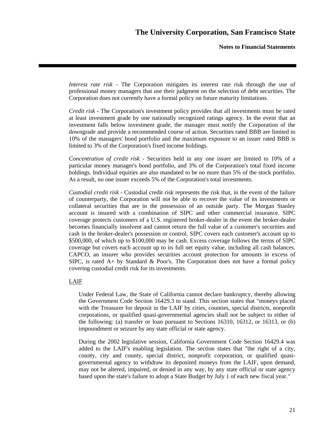*Interest rate risk* - The Corporation mitigates its interest rate risk through the use of professional money managers that use their judgment on the selection of debt securities. The Corporation does not currently have a formal policy on future maturity limitations.

*Credit risk* - The Corporation's investment policy provides that all investments must be rated at least investment grade by one nationally recognized ratings agency. In the event that an investment falls below investment grade, the manager must notify the Corporation of the downgrade and provide a recommended course of action. Securities rated BBB are limited to 10% of the managers' bond portfolio and the maximum exposure to an issuer rated BBB is limited to 3% of the Corporation's fixed income holdings.

*Concentration of credit risk* - Securities held in any one issuer are limited to 10% of a particular money manager's bond portfolio, and 3% of the Corporation's total fixed income holdings. Individual equities are also mandated to be no more than 5% of the stock portfolio. As a result, no one issuer exceeds 5% of the Corporation's total investments.

*Custodial credit risk* - Custodial credit risk represents the risk that, in the event of the failure of counterparty, the Corporation will not be able to recover the value of its investments or collateral securities that are in the possession of an outside party. The Morgan Stanley account is insured with a combination of SIPC and other commercial insurance. SIPC coverage protects customers of a U.S. registered broker-dealer in the event the broker-dealer becomes financially insolvent and cannot return the full value of a customer's securities and cash in the broker-dealer's possession or control. SIPC covers each customer's account up to \$500,000, of which up to \$100,000 may be cash. Excess coverage follows the terms of SIPC coverage but covers each account up to its full net equity value, including all cash balances. CAPCO, an insurer who provides securities account protection for amounts in excess of SIPC, is rated  $A+$  by Standard & Poor's. The Corporation does not have a formal policy covering custodial credit risk for its investments.

### LAIF

Under Federal Law, the State of California cannot declare bankruptcy, thereby allowing the Government Code Section 16429.3 to stand. This section states that "moneys placed with the Treasurer for deposit in the LAIF by cities, counties, special districts, nonprofit corporations, or qualified quasi-governmental agencies shall not be subject to either of the following: (a) transfer or loan pursuant to Sections 16310, 16312, or 16313, or (b) impoundment or seizure by any state official or state agency.

During the 2002 legislative session, California Government Code Section 16429.4 was added to the LAIF's enabling legislation. The section states that "the right of a city, county, city and county, special district, nonprofit corporation, or qualified quasigovernmental agency to withdraw its deposited moneys from the LAIF, upon demand, may not be altered, impaired, or denied in any way, by any state official or state agency based upon the state's failure to adopt a State Budget by July 1 of each new fiscal year."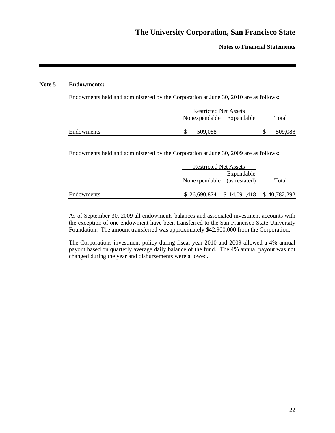### **Note 5 - Endowments:**

Endowments held and administered by the Corporation at June 30, 2010 are as follows:

|            | <b>Restricted Net Assets</b> |         |                          |         |
|------------|------------------------------|---------|--------------------------|---------|
|            |                              |         | Nonexpendable Expendable | Total   |
| Endowments |                              | 509.088 |                          | 509.088 |

Endowments held and administered by the Corporation at June 30, 2009 are as follows:

|            | <b>Restricted Net Assets</b>              |            |       |
|------------|-------------------------------------------|------------|-------|
|            | Nonexpendable (as restated)               | Expendable | Total |
| Endowments | $$26,690,874$ $$14,091,418$ $$40,782,292$ |            |       |

As of September 30, 2009 all endowments balances and associated investment accounts with the exception of one endowment have been transferred to the San Francisco State University Foundation. The amount transferred was approximately \$42,900,000 from the Corporation.

The Corporations investment policy during fiscal year 2010 and 2009 allowed a 4% annual payout based on quarterly average daily balance of the fund. The 4% annual payout was not changed during the year and disbursements were allowed.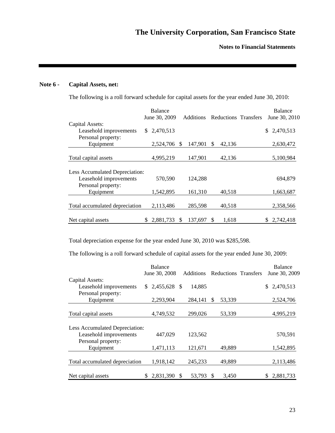## **Note 6 - Capital Assets, net:**

The following is a roll forward schedule for capital assets for the year ended June 30, 2010:

|                                |                | <b>Balance</b> |     |                  |              |                      | <b>Balance</b>  |
|--------------------------------|----------------|----------------|-----|------------------|--------------|----------------------|-----------------|
|                                |                | June 30, 2009  |     | <b>Additions</b> |              | Reductions Transfers | June 30, 2010   |
| Capital Assets:                |                |                |     |                  |              |                      |                 |
| Leasehold improvements         | $\mathbb{S}^-$ | 2,470,513      |     |                  |              |                      | 2,470,513<br>\$ |
| Personal property:             |                |                |     |                  |              |                      |                 |
| Equipment                      |                | 2,524,706      | \$. | 147,901          | \$<br>42,136 |                      | 2,630,472       |
|                                |                |                |     |                  |              |                      |                 |
| Total capital assets           |                | 4,995,219      |     | 147,901          | 42,136       |                      | 5,100,984       |
|                                |                |                |     |                  |              |                      |                 |
| Less Accumulated Depreciation: |                |                |     |                  |              |                      |                 |
| Leasehold improvements         |                | 570,590        |     | 124,288          |              |                      | 694,879         |
| Personal property:             |                |                |     |                  |              |                      |                 |
| Equipment                      |                | 1,542,895      |     | 161,310          | 40,518       |                      | 1,663,687       |
|                                |                |                |     |                  |              |                      |                 |
| Total accumulated depreciation |                | 2,113,486      |     | 285,598          | 40,518       |                      | 2,358,566       |
|                                |                |                |     |                  |              |                      |                 |
| Net capital assets             | S.             | 2,881,733      | \$. | 137,697          | \$<br>1,618  |                      | \$2,742,418     |

Total depreciation expense for the year ended June 30, 2010 was \$285,598.

The following is a roll forward schedule of capital assets for the year ended June 30, 2009:

|                                | <b>Balance</b>     |                  |                      | <b>Balance</b>  |
|--------------------------------|--------------------|------------------|----------------------|-----------------|
|                                | June 30, 2008      | <b>Additions</b> | Reductions Transfers | June 30, 2009   |
| Capital Assets:                |                    |                  |                      |                 |
| Leasehold improvements         | 2,455,628 \$<br>S. | 14,885           |                      | 2,470,513<br>\$ |
| Personal property:             |                    |                  |                      |                 |
| Equipment                      | 2,293,904          | 284,141          | 53,339<br>S          | 2,524,706       |
|                                |                    |                  |                      |                 |
| Total capital assets           | 4,749,532          | 299,026          | 53,339               | 4,995,219       |
| Less Accumulated Depreciation: |                    |                  |                      |                 |
| Leasehold improvements         | 447,029            | 123,562          |                      | 570,591         |
| Personal property:             |                    |                  |                      |                 |
| Equipment                      | 1,471,113          | 121,671          | 49,889               | 1,542,895       |
|                                |                    |                  |                      |                 |
| Total accumulated depreciation | 1,918,142          | 245,233          | 49,889               | 2,113,486       |
| Net capital assets             | 2,831,390          | 53,793<br>\$     | 3,450<br>\$.         | 2,881,733       |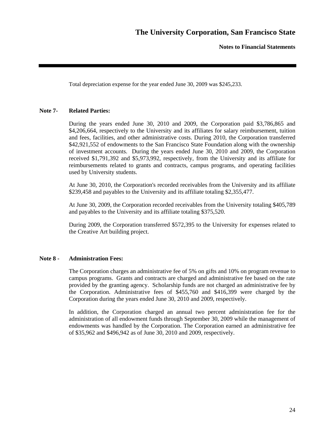Total depreciation expense for the year ended June 30, 2009 was \$245,233.

### **Note 7- Related Parties:**

During the years ended June 30, 2010 and 2009, the Corporation paid \$3,786,865 and \$4,206,664, respectively to the University and its affiliates for salary reimbursement, tuition and fees, facilities, and other administrative costs. During 2010, the Corporation transferred \$42,921,552 of endowments to the San Francisco State Foundation along with the ownership of investment accounts. During the years ended June 30, 2010 and 2009, the Corporation received \$1,791,392 and \$5,973,992, respectively, from the University and its affiliate for reimbursements related to grants and contracts, campus programs, and operating facilities used by University students.

At June 30, 2010, the Corporation's recorded receivables from the University and its affiliate \$239,458 and payables to the University and its affiliate totaling \$2,355,477.

At June 30, 2009, the Corporation recorded receivables from the University totaling \$405,789 and payables to the University and its affiliate totaling \$375,520.

During 2009, the Corporation transferred \$572,395 to the University for expenses related to the Creative Art building project.

### **Note 8 - Administration Fees:**

The Corporation charges an administrative fee of 5% on gifts and 10% on program revenue to campus programs. Grants and contracts are charged and administrative fee based on the rate provided by the granting agency. Scholarship funds are not charged an administrative fee by the Corporation. Administrative fees of \$455,760 and \$416,399 were charged by the Corporation during the years ended June 30, 2010 and 2009, respectively.

In addition, the Corporation charged an annual two percent administration fee for the administration of all endowment funds through September 30, 2009 while the management of endowments was handled by the Corporation. The Corporation earned an administrative fee of \$35,962 and \$496,942 as of June 30, 2010 and 2009, respectively.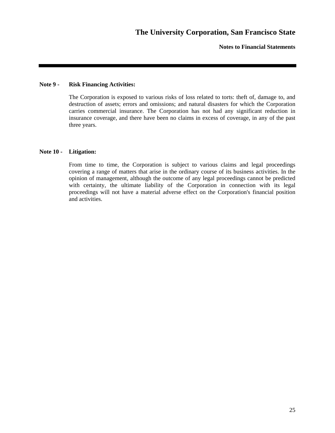### **Note 9 - Risk Financing Activities:**

The Corporation is exposed to various risks of loss related to torts: theft of, damage to, and destruction of assets; errors and omissions; and natural disasters for which the Corporation carries commercial insurance. The Corporation has not had any significant reduction in insurance coverage, and there have been no claims in excess of coverage, in any of the past three years.

#### **Note 10 - Litigation:**

From time to time, the Corporation is subject to various claims and legal proceedings covering a range of matters that arise in the ordinary course of its business activities. In the opinion of management, although the outcome of any legal proceedings cannot be predicted with certainty, the ultimate liability of the Corporation in connection with its legal proceedings will not have a material adverse effect on the Corporation's financial position and activities.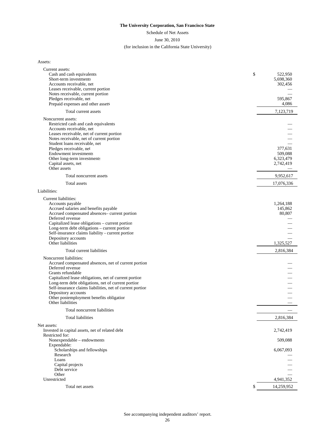Schedule of Net Assets

#### June 30, 2010

#### (for inclusion in the California State University)

Assets:

| 522,950<br>Short-term investments<br>5,698,360<br>Accounts receivable, net<br>302,456<br>Leases receivable, current portion<br>Notes receivable, current portion<br>Pledges receivable, net<br>595,867<br>Prepaid expenses and other assets<br>4,086<br>7,123,719<br>Total current assets<br>Noncurrent assets:<br>Restricted cash and cash equivalents<br>Accounts receivable, net<br>Leases receivable, net of current portion<br>Notes receivable, net of current portion<br>Student loans receivable, net<br>Pledges receivable, net<br>377,631<br><b>Endowment</b> investments<br>509,088<br>Other long-term investments<br>6,323,479<br>2,742,419<br>Capital assets, net<br>Other assets<br>9,952,617<br>Total noncurrent assets<br>Total assets<br>17,076,336<br>Liabilities:<br>Current liabilities:<br>1,264,188<br>Accounts payable<br>Accrued salaries and benefits payable<br>145,862<br>Accrued compensated absences- current portion<br>80,807<br>Deferred revenue<br>Capitalized lease obligations - current portion<br>Long-term debt obligations - current portion<br>Self-insurance claims liability - current portion<br>Depository accounts<br>Other liabilities<br>1,325,527<br>Total current liabilities<br>2,816,384<br>Noncurrent liabilities:<br>Accrued compensated absences, net of current portion<br>Deferred revenue<br>Grants refundable<br>Capitalized lease obligations, net of current portion<br>Long-term debt obligations, net of current portion<br>Self-insurance claims liabilities, net of current portion<br>Depository accounts<br>Other postemployment benefits obligation<br>Other liabilities<br>Total noncurrent liabilities<br>Total liabilities<br>2,816,384<br>Net assets:<br>Invested in capital assets, net of related debt<br>2,742,419<br>Restricted for:<br>Nonexpendable - endowments<br>509,088<br>Expendable:<br>Scholarships and fellowships<br>6,067,093<br>Research<br>Loans<br>Capital projects<br>Debt service<br>Other<br>Unrestricted<br>4,941,352<br>14,259,952<br>Total net assets<br>\$ | Current assets:           |    |
|-------------------------------------------------------------------------------------------------------------------------------------------------------------------------------------------------------------------------------------------------------------------------------------------------------------------------------------------------------------------------------------------------------------------------------------------------------------------------------------------------------------------------------------------------------------------------------------------------------------------------------------------------------------------------------------------------------------------------------------------------------------------------------------------------------------------------------------------------------------------------------------------------------------------------------------------------------------------------------------------------------------------------------------------------------------------------------------------------------------------------------------------------------------------------------------------------------------------------------------------------------------------------------------------------------------------------------------------------------------------------------------------------------------------------------------------------------------------------------------------------------------------------------------------------------------------------------------------------------------------------------------------------------------------------------------------------------------------------------------------------------------------------------------------------------------------------------------------------------------------------------------------------------------------------------------------------------------------------------------------------------------------------------------------------------------|---------------------------|----|
|                                                                                                                                                                                                                                                                                                                                                                                                                                                                                                                                                                                                                                                                                                                                                                                                                                                                                                                                                                                                                                                                                                                                                                                                                                                                                                                                                                                                                                                                                                                                                                                                                                                                                                                                                                                                                                                                                                                                                                                                                                                             | Cash and cash equivalents | \$ |
|                                                                                                                                                                                                                                                                                                                                                                                                                                                                                                                                                                                                                                                                                                                                                                                                                                                                                                                                                                                                                                                                                                                                                                                                                                                                                                                                                                                                                                                                                                                                                                                                                                                                                                                                                                                                                                                                                                                                                                                                                                                             |                           |    |
|                                                                                                                                                                                                                                                                                                                                                                                                                                                                                                                                                                                                                                                                                                                                                                                                                                                                                                                                                                                                                                                                                                                                                                                                                                                                                                                                                                                                                                                                                                                                                                                                                                                                                                                                                                                                                                                                                                                                                                                                                                                             |                           |    |
|                                                                                                                                                                                                                                                                                                                                                                                                                                                                                                                                                                                                                                                                                                                                                                                                                                                                                                                                                                                                                                                                                                                                                                                                                                                                                                                                                                                                                                                                                                                                                                                                                                                                                                                                                                                                                                                                                                                                                                                                                                                             |                           |    |
|                                                                                                                                                                                                                                                                                                                                                                                                                                                                                                                                                                                                                                                                                                                                                                                                                                                                                                                                                                                                                                                                                                                                                                                                                                                                                                                                                                                                                                                                                                                                                                                                                                                                                                                                                                                                                                                                                                                                                                                                                                                             |                           |    |
|                                                                                                                                                                                                                                                                                                                                                                                                                                                                                                                                                                                                                                                                                                                                                                                                                                                                                                                                                                                                                                                                                                                                                                                                                                                                                                                                                                                                                                                                                                                                                                                                                                                                                                                                                                                                                                                                                                                                                                                                                                                             |                           |    |
|                                                                                                                                                                                                                                                                                                                                                                                                                                                                                                                                                                                                                                                                                                                                                                                                                                                                                                                                                                                                                                                                                                                                                                                                                                                                                                                                                                                                                                                                                                                                                                                                                                                                                                                                                                                                                                                                                                                                                                                                                                                             |                           |    |
|                                                                                                                                                                                                                                                                                                                                                                                                                                                                                                                                                                                                                                                                                                                                                                                                                                                                                                                                                                                                                                                                                                                                                                                                                                                                                                                                                                                                                                                                                                                                                                                                                                                                                                                                                                                                                                                                                                                                                                                                                                                             |                           |    |
|                                                                                                                                                                                                                                                                                                                                                                                                                                                                                                                                                                                                                                                                                                                                                                                                                                                                                                                                                                                                                                                                                                                                                                                                                                                                                                                                                                                                                                                                                                                                                                                                                                                                                                                                                                                                                                                                                                                                                                                                                                                             |                           |    |
|                                                                                                                                                                                                                                                                                                                                                                                                                                                                                                                                                                                                                                                                                                                                                                                                                                                                                                                                                                                                                                                                                                                                                                                                                                                                                                                                                                                                                                                                                                                                                                                                                                                                                                                                                                                                                                                                                                                                                                                                                                                             |                           |    |
|                                                                                                                                                                                                                                                                                                                                                                                                                                                                                                                                                                                                                                                                                                                                                                                                                                                                                                                                                                                                                                                                                                                                                                                                                                                                                                                                                                                                                                                                                                                                                                                                                                                                                                                                                                                                                                                                                                                                                                                                                                                             |                           |    |
|                                                                                                                                                                                                                                                                                                                                                                                                                                                                                                                                                                                                                                                                                                                                                                                                                                                                                                                                                                                                                                                                                                                                                                                                                                                                                                                                                                                                                                                                                                                                                                                                                                                                                                                                                                                                                                                                                                                                                                                                                                                             |                           |    |
|                                                                                                                                                                                                                                                                                                                                                                                                                                                                                                                                                                                                                                                                                                                                                                                                                                                                                                                                                                                                                                                                                                                                                                                                                                                                                                                                                                                                                                                                                                                                                                                                                                                                                                                                                                                                                                                                                                                                                                                                                                                             |                           |    |
|                                                                                                                                                                                                                                                                                                                                                                                                                                                                                                                                                                                                                                                                                                                                                                                                                                                                                                                                                                                                                                                                                                                                                                                                                                                                                                                                                                                                                                                                                                                                                                                                                                                                                                                                                                                                                                                                                                                                                                                                                                                             |                           |    |
|                                                                                                                                                                                                                                                                                                                                                                                                                                                                                                                                                                                                                                                                                                                                                                                                                                                                                                                                                                                                                                                                                                                                                                                                                                                                                                                                                                                                                                                                                                                                                                                                                                                                                                                                                                                                                                                                                                                                                                                                                                                             |                           |    |
|                                                                                                                                                                                                                                                                                                                                                                                                                                                                                                                                                                                                                                                                                                                                                                                                                                                                                                                                                                                                                                                                                                                                                                                                                                                                                                                                                                                                                                                                                                                                                                                                                                                                                                                                                                                                                                                                                                                                                                                                                                                             |                           |    |
|                                                                                                                                                                                                                                                                                                                                                                                                                                                                                                                                                                                                                                                                                                                                                                                                                                                                                                                                                                                                                                                                                                                                                                                                                                                                                                                                                                                                                                                                                                                                                                                                                                                                                                                                                                                                                                                                                                                                                                                                                                                             |                           |    |
|                                                                                                                                                                                                                                                                                                                                                                                                                                                                                                                                                                                                                                                                                                                                                                                                                                                                                                                                                                                                                                                                                                                                                                                                                                                                                                                                                                                                                                                                                                                                                                                                                                                                                                                                                                                                                                                                                                                                                                                                                                                             |                           |    |
|                                                                                                                                                                                                                                                                                                                                                                                                                                                                                                                                                                                                                                                                                                                                                                                                                                                                                                                                                                                                                                                                                                                                                                                                                                                                                                                                                                                                                                                                                                                                                                                                                                                                                                                                                                                                                                                                                                                                                                                                                                                             |                           |    |
|                                                                                                                                                                                                                                                                                                                                                                                                                                                                                                                                                                                                                                                                                                                                                                                                                                                                                                                                                                                                                                                                                                                                                                                                                                                                                                                                                                                                                                                                                                                                                                                                                                                                                                                                                                                                                                                                                                                                                                                                                                                             |                           |    |
|                                                                                                                                                                                                                                                                                                                                                                                                                                                                                                                                                                                                                                                                                                                                                                                                                                                                                                                                                                                                                                                                                                                                                                                                                                                                                                                                                                                                                                                                                                                                                                                                                                                                                                                                                                                                                                                                                                                                                                                                                                                             |                           |    |
|                                                                                                                                                                                                                                                                                                                                                                                                                                                                                                                                                                                                                                                                                                                                                                                                                                                                                                                                                                                                                                                                                                                                                                                                                                                                                                                                                                                                                                                                                                                                                                                                                                                                                                                                                                                                                                                                                                                                                                                                                                                             |                           |    |
|                                                                                                                                                                                                                                                                                                                                                                                                                                                                                                                                                                                                                                                                                                                                                                                                                                                                                                                                                                                                                                                                                                                                                                                                                                                                                                                                                                                                                                                                                                                                                                                                                                                                                                                                                                                                                                                                                                                                                                                                                                                             |                           |    |
|                                                                                                                                                                                                                                                                                                                                                                                                                                                                                                                                                                                                                                                                                                                                                                                                                                                                                                                                                                                                                                                                                                                                                                                                                                                                                                                                                                                                                                                                                                                                                                                                                                                                                                                                                                                                                                                                                                                                                                                                                                                             |                           |    |
|                                                                                                                                                                                                                                                                                                                                                                                                                                                                                                                                                                                                                                                                                                                                                                                                                                                                                                                                                                                                                                                                                                                                                                                                                                                                                                                                                                                                                                                                                                                                                                                                                                                                                                                                                                                                                                                                                                                                                                                                                                                             |                           |    |
|                                                                                                                                                                                                                                                                                                                                                                                                                                                                                                                                                                                                                                                                                                                                                                                                                                                                                                                                                                                                                                                                                                                                                                                                                                                                                                                                                                                                                                                                                                                                                                                                                                                                                                                                                                                                                                                                                                                                                                                                                                                             |                           |    |
|                                                                                                                                                                                                                                                                                                                                                                                                                                                                                                                                                                                                                                                                                                                                                                                                                                                                                                                                                                                                                                                                                                                                                                                                                                                                                                                                                                                                                                                                                                                                                                                                                                                                                                                                                                                                                                                                                                                                                                                                                                                             |                           |    |
|                                                                                                                                                                                                                                                                                                                                                                                                                                                                                                                                                                                                                                                                                                                                                                                                                                                                                                                                                                                                                                                                                                                                                                                                                                                                                                                                                                                                                                                                                                                                                                                                                                                                                                                                                                                                                                                                                                                                                                                                                                                             |                           |    |
|                                                                                                                                                                                                                                                                                                                                                                                                                                                                                                                                                                                                                                                                                                                                                                                                                                                                                                                                                                                                                                                                                                                                                                                                                                                                                                                                                                                                                                                                                                                                                                                                                                                                                                                                                                                                                                                                                                                                                                                                                                                             |                           |    |
|                                                                                                                                                                                                                                                                                                                                                                                                                                                                                                                                                                                                                                                                                                                                                                                                                                                                                                                                                                                                                                                                                                                                                                                                                                                                                                                                                                                                                                                                                                                                                                                                                                                                                                                                                                                                                                                                                                                                                                                                                                                             |                           |    |
|                                                                                                                                                                                                                                                                                                                                                                                                                                                                                                                                                                                                                                                                                                                                                                                                                                                                                                                                                                                                                                                                                                                                                                                                                                                                                                                                                                                                                                                                                                                                                                                                                                                                                                                                                                                                                                                                                                                                                                                                                                                             |                           |    |
|                                                                                                                                                                                                                                                                                                                                                                                                                                                                                                                                                                                                                                                                                                                                                                                                                                                                                                                                                                                                                                                                                                                                                                                                                                                                                                                                                                                                                                                                                                                                                                                                                                                                                                                                                                                                                                                                                                                                                                                                                                                             |                           |    |
|                                                                                                                                                                                                                                                                                                                                                                                                                                                                                                                                                                                                                                                                                                                                                                                                                                                                                                                                                                                                                                                                                                                                                                                                                                                                                                                                                                                                                                                                                                                                                                                                                                                                                                                                                                                                                                                                                                                                                                                                                                                             |                           |    |
|                                                                                                                                                                                                                                                                                                                                                                                                                                                                                                                                                                                                                                                                                                                                                                                                                                                                                                                                                                                                                                                                                                                                                                                                                                                                                                                                                                                                                                                                                                                                                                                                                                                                                                                                                                                                                                                                                                                                                                                                                                                             |                           |    |
|                                                                                                                                                                                                                                                                                                                                                                                                                                                                                                                                                                                                                                                                                                                                                                                                                                                                                                                                                                                                                                                                                                                                                                                                                                                                                                                                                                                                                                                                                                                                                                                                                                                                                                                                                                                                                                                                                                                                                                                                                                                             |                           |    |
|                                                                                                                                                                                                                                                                                                                                                                                                                                                                                                                                                                                                                                                                                                                                                                                                                                                                                                                                                                                                                                                                                                                                                                                                                                                                                                                                                                                                                                                                                                                                                                                                                                                                                                                                                                                                                                                                                                                                                                                                                                                             |                           |    |
|                                                                                                                                                                                                                                                                                                                                                                                                                                                                                                                                                                                                                                                                                                                                                                                                                                                                                                                                                                                                                                                                                                                                                                                                                                                                                                                                                                                                                                                                                                                                                                                                                                                                                                                                                                                                                                                                                                                                                                                                                                                             |                           |    |
|                                                                                                                                                                                                                                                                                                                                                                                                                                                                                                                                                                                                                                                                                                                                                                                                                                                                                                                                                                                                                                                                                                                                                                                                                                                                                                                                                                                                                                                                                                                                                                                                                                                                                                                                                                                                                                                                                                                                                                                                                                                             |                           |    |
|                                                                                                                                                                                                                                                                                                                                                                                                                                                                                                                                                                                                                                                                                                                                                                                                                                                                                                                                                                                                                                                                                                                                                                                                                                                                                                                                                                                                                                                                                                                                                                                                                                                                                                                                                                                                                                                                                                                                                                                                                                                             |                           |    |
|                                                                                                                                                                                                                                                                                                                                                                                                                                                                                                                                                                                                                                                                                                                                                                                                                                                                                                                                                                                                                                                                                                                                                                                                                                                                                                                                                                                                                                                                                                                                                                                                                                                                                                                                                                                                                                                                                                                                                                                                                                                             |                           |    |
|                                                                                                                                                                                                                                                                                                                                                                                                                                                                                                                                                                                                                                                                                                                                                                                                                                                                                                                                                                                                                                                                                                                                                                                                                                                                                                                                                                                                                                                                                                                                                                                                                                                                                                                                                                                                                                                                                                                                                                                                                                                             |                           |    |
|                                                                                                                                                                                                                                                                                                                                                                                                                                                                                                                                                                                                                                                                                                                                                                                                                                                                                                                                                                                                                                                                                                                                                                                                                                                                                                                                                                                                                                                                                                                                                                                                                                                                                                                                                                                                                                                                                                                                                                                                                                                             |                           |    |
|                                                                                                                                                                                                                                                                                                                                                                                                                                                                                                                                                                                                                                                                                                                                                                                                                                                                                                                                                                                                                                                                                                                                                                                                                                                                                                                                                                                                                                                                                                                                                                                                                                                                                                                                                                                                                                                                                                                                                                                                                                                             |                           |    |
|                                                                                                                                                                                                                                                                                                                                                                                                                                                                                                                                                                                                                                                                                                                                                                                                                                                                                                                                                                                                                                                                                                                                                                                                                                                                                                                                                                                                                                                                                                                                                                                                                                                                                                                                                                                                                                                                                                                                                                                                                                                             |                           |    |
|                                                                                                                                                                                                                                                                                                                                                                                                                                                                                                                                                                                                                                                                                                                                                                                                                                                                                                                                                                                                                                                                                                                                                                                                                                                                                                                                                                                                                                                                                                                                                                                                                                                                                                                                                                                                                                                                                                                                                                                                                                                             |                           |    |
|                                                                                                                                                                                                                                                                                                                                                                                                                                                                                                                                                                                                                                                                                                                                                                                                                                                                                                                                                                                                                                                                                                                                                                                                                                                                                                                                                                                                                                                                                                                                                                                                                                                                                                                                                                                                                                                                                                                                                                                                                                                             |                           |    |
|                                                                                                                                                                                                                                                                                                                                                                                                                                                                                                                                                                                                                                                                                                                                                                                                                                                                                                                                                                                                                                                                                                                                                                                                                                                                                                                                                                                                                                                                                                                                                                                                                                                                                                                                                                                                                                                                                                                                                                                                                                                             |                           |    |
|                                                                                                                                                                                                                                                                                                                                                                                                                                                                                                                                                                                                                                                                                                                                                                                                                                                                                                                                                                                                                                                                                                                                                                                                                                                                                                                                                                                                                                                                                                                                                                                                                                                                                                                                                                                                                                                                                                                                                                                                                                                             |                           |    |
|                                                                                                                                                                                                                                                                                                                                                                                                                                                                                                                                                                                                                                                                                                                                                                                                                                                                                                                                                                                                                                                                                                                                                                                                                                                                                                                                                                                                                                                                                                                                                                                                                                                                                                                                                                                                                                                                                                                                                                                                                                                             |                           |    |
|                                                                                                                                                                                                                                                                                                                                                                                                                                                                                                                                                                                                                                                                                                                                                                                                                                                                                                                                                                                                                                                                                                                                                                                                                                                                                                                                                                                                                                                                                                                                                                                                                                                                                                                                                                                                                                                                                                                                                                                                                                                             |                           |    |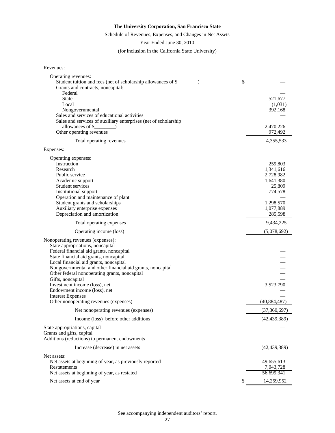## Schedule of Revenues, Expenses, and Changes in Net Assets

Year Ended June 30, 2010

(for inclusion in the California State University)

| Revenues: |
|-----------|
|-----------|

| Operating revenues:                                                   |                |
|-----------------------------------------------------------------------|----------------|
| Student tuition and fees (net of scholarship allowances of \$_        | \$             |
| Grants and contracts, noncapital:<br>Federal                          |                |
| <b>State</b>                                                          | 521,677        |
| Local                                                                 | (1,031)        |
| Nongovernmental                                                       | 392,168        |
| Sales and services of educational activities                          |                |
| Sales and services of auxiliary enterprises (net of scholarship       |                |
| allowances of \$                                                      | 2,470,226      |
| Other operating revenues                                              | 972,492        |
| Total operating revenues                                              | 4,355,533      |
| Expenses:                                                             |                |
| Operating expenses:                                                   |                |
| Instruction                                                           | 259,803        |
| Research                                                              | 1,341,616      |
| Public service                                                        | 2,728,982      |
| Academic support                                                      | 1,641,380      |
| Student services                                                      | 25,809         |
| Institutional support                                                 | 774,578        |
| Operation and maintenance of plant<br>Student grants and scholarships | 1,298,570      |
| Auxiliary enterprise expenses                                         | 1,077,889      |
| Depreciation and amortization                                         | 285,598        |
| Total operating expenses                                              | 9,434,225      |
| Operating income (loss)                                               | (5,078,692)    |
|                                                                       |                |
| Nonoperating revenues (expenses):<br>State appropriations, noncapital |                |
| Federal financial aid grants, noncapital                              |                |
| State financial aid grants, noncapital                                |                |
| Local financial aid grants, noncapital                                |                |
| Nongovernmental and other financial aid grants, noncapital            |                |
| Other federal nonoperating grants, noncapital                         |                |
| Gifts, noncapital                                                     |                |
| Investment income (loss), net                                         | 3,523,790      |
| Endowment income (loss), net                                          |                |
| <b>Interest Expenses</b>                                              |                |
| Other nonoperating revenues (expenses)                                | (40, 884, 487) |
| Net nonoperating revenues (expenses)                                  | (37,360,697)   |
| Income (loss) before other additions                                  | (42, 439, 389) |
| State appropriations, capital                                         |                |
| Grants and gifts, capital                                             |                |
| Additions (reductions) to permanent endowments                        |                |
| Increase (decrease) in net assets                                     | (42, 439, 389) |
| Net assets:                                                           |                |
| Net assets at beginning of year, as previously reported               | 49,655,613     |
| Restatements                                                          | 7,043,728      |
| Net assets at beginning of year, as restated                          | 56,699,341     |
| Net assets at end of year                                             | 14,259,952     |
|                                                                       |                |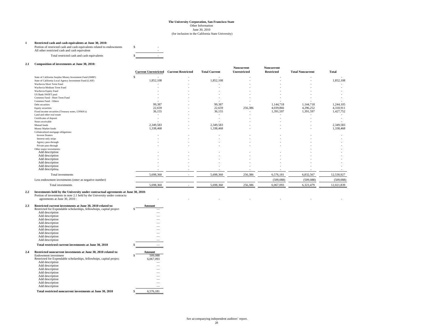#### **The University Corporation, San Francisco State** (for inclusion in the California State University) June 30, 2010 Other Information

**1 Restricted cash and cash equivalents at June 30, 2010:**<br>Portion of restricted cash and cash equivalents related to endowments \$ All other restricted cash and cash equivalent Total restricted cash and cash equivalents \$ -

#### **2.1 Composition of investments at June 30, 2010:**

| Composition of investments at sunc 50, 2010.             | <b>Current Unrestricted</b> | <b>Current Restricted</b> | <b>Total Current</b> | Noncurrent<br>Unrestricted | Noncurrent<br><b>Restricted</b> | <b>Total Noncurrent</b> | Total      |
|----------------------------------------------------------|-----------------------------|---------------------------|----------------------|----------------------------|---------------------------------|-------------------------|------------|
| State of California Surplus Money Investment Fund (SMIF) |                             |                           |                      |                            |                                 |                         |            |
| State of California Local Agency Investment Fund (LAIF)  | 1,852,108                   |                           | 1,852,108            |                            |                                 |                         | 1,852,108  |
| Wachovia Short Term Fund                                 |                             |                           |                      |                            |                                 |                         |            |
| Wachovia Medium Term Fund                                |                             |                           |                      |                            |                                 |                         |            |
| Wachovia Equity Fund                                     |                             |                           |                      |                            |                                 |                         |            |
| <b>US Bank SWIFT pool</b>                                |                             |                           |                      |                            |                                 |                         |            |
| Common Fund - Short Term Fund                            |                             |                           |                      |                            |                                 |                         |            |
| Common Fund - Others                                     |                             |                           |                      |                            |                                 |                         |            |
| Debt securities                                          | 99,387                      |                           | 99,387               |                            | 1,144,718                       | 1,144,718               | 1,244,105  |
| Equity securities                                        | 22,659                      |                           | 22,659               | 256,386                    | 4,039,866                       | 4,296,252               | 4,318,911  |
| Fixed income securities (Treasury notes, GNMA's)         | 36,155                      |                           | 36,155               | $\sim$                     | 1,391,597                       | 1,391,597               | 1,427,752  |
| Land and other real estate                               |                             |                           | ٠                    |                            |                                 |                         |            |
| Certificates of deposit                                  |                             |                           |                      |                            |                                 |                         |            |
| Notes receivable                                         |                             |                           |                      |                            |                                 |                         |            |
| Mutual funds                                             | 2.349.583                   |                           | 2.349.583            |                            |                                 |                         | 2,349,583  |
| Money Market funds                                       | 1,338,468                   |                           | 1,338,468            |                            |                                 |                         | 1,338,468  |
| Collateralized mortgage obligations:                     |                             |                           |                      |                            |                                 |                         |            |
| Inverse floaters                                         |                             |                           |                      |                            |                                 |                         |            |
| Interest-only strips                                     |                             |                           |                      |                            |                                 |                         |            |
| Agency pass-through                                      |                             |                           |                      |                            |                                 |                         |            |
| Private pass-through                                     |                             |                           |                      |                            |                                 |                         |            |
| Other major investments:                                 |                             |                           |                      |                            |                                 |                         |            |
| Add description                                          |                             |                           |                      |                            |                                 |                         |            |
| Add description                                          |                             |                           |                      |                            |                                 |                         |            |
| Add description                                          |                             |                           |                      |                            |                                 |                         |            |
| Add description                                          |                             |                           |                      |                            |                                 |                         |            |
| Add description                                          |                             |                           |                      |                            |                                 |                         |            |
| Add description                                          |                             |                           |                      |                            |                                 |                         |            |
| Total investments                                        | 5,698,360                   |                           | 5,698,360            | 256,386                    | 6,576,181                       | 6,832,567               | 12,530,927 |
| Less endowment investments (enter as negative number)    |                             |                           |                      |                            | (509, 088)                      | (509, 088)              | (509, 088) |
| Total investments                                        | 5,698,360                   |                           | 5,698,360            | 256,386                    | 6,067,093                       | 6,323,479               | 12,021,839 |

### **2.2 Investments held by the University under contractual agreements at June 30, 2010:** Portion of investments in note 2.1 held by the University under contractu

| agreements at June 30, 2010 : |  |  |  |  |
|-------------------------------|--|--|--|--|
|                               |  |  |  |  |

| Restricted current investments at June 30, 2010 related to:          | Amount                                                               |                            |  |  |
|----------------------------------------------------------------------|----------------------------------------------------------------------|----------------------------|--|--|
|                                                                      | \$                                                                   |                            |  |  |
| Add description                                                      |                                                                      |                            |  |  |
| Add description                                                      |                                                                      |                            |  |  |
| Add description                                                      |                                                                      |                            |  |  |
| Add description                                                      |                                                                      |                            |  |  |
| Add description                                                      |                                                                      |                            |  |  |
| Add description                                                      |                                                                      |                            |  |  |
| Add description                                                      |                                                                      |                            |  |  |
| Add description                                                      |                                                                      |                            |  |  |
| Add description                                                      |                                                                      |                            |  |  |
| Total restricted current investments at June 30, 2010                | Ś                                                                    |                            |  |  |
| Restricted noncurrent investments at June 30, 2010 related to:       |                                                                      | Amount                     |  |  |
|                                                                      |                                                                      | 509,088                    |  |  |
|                                                                      |                                                                      |                            |  |  |
| Restricted for Expendable scholarships, fellowhsips, capital project |                                                                      | 6,067,093                  |  |  |
| Add description                                                      |                                                                      |                            |  |  |
| Add description                                                      |                                                                      |                            |  |  |
| Add description                                                      |                                                                      |                            |  |  |
| Add description                                                      |                                                                      |                            |  |  |
| Add description                                                      |                                                                      |                            |  |  |
| Add description                                                      |                                                                      |                            |  |  |
| Add description                                                      |                                                                      |                            |  |  |
| Add description                                                      |                                                                      |                            |  |  |
|                                                                      | Restricted for Expendable scholarships, fellowhsips, capital project | Endowment investment<br>\$ |  |  |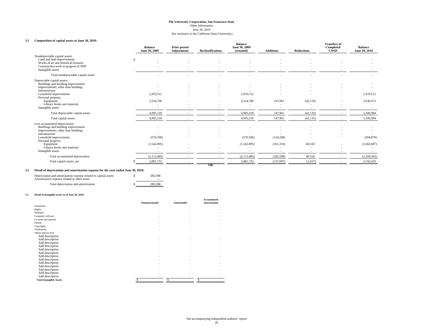June 30, 2010

(for inclusion in the California State University)

#### **3.1 Composition of capital assets at June 30, 2010:**

| Composition of capital assets at June 30, 2010:                                                                                                                                                                          | <b>Balance</b><br>June 30, 2009 | Prior period<br><b>Adjustments</b> | <b>Reclassifications</b> | <b>Balance</b><br>June 30, 2009<br>(restated) | <b>Additions</b>        | <b>Reductions</b>   | <b>Transfers of</b><br>Completed<br><b>CWIP</b> | <b>Balance</b><br>June 30, 2010 |
|--------------------------------------------------------------------------------------------------------------------------------------------------------------------------------------------------------------------------|---------------------------------|------------------------------------|--------------------------|-----------------------------------------------|-------------------------|---------------------|-------------------------------------------------|---------------------------------|
| Nondepreciable capital assets:<br>Land and land improvements<br>Works of art and historical treasures<br>Construction work in progress (CWIP)<br>Intangible assets                                                       | S                               |                                    |                          |                                               |                         |                     |                                                 |                                 |
| Total nondepreciable capital assets                                                                                                                                                                                      |                                 |                                    |                          |                                               |                         |                     |                                                 |                                 |
| Depreciable capital assets:<br>Buildings and building improvement<br>Improvements, other than building:<br>Infrastructure<br>Leasehold improvements                                                                      | 2,470,512                       |                                    |                          | 2,470,512                                     |                         |                     |                                                 | 2,470,512                       |
| Personal property:<br>Equipment<br>Library books and materials<br>Intangible assets                                                                                                                                      | 2,524,706                       |                                    |                          | 2,524,706                                     | 147,901                 | (42, 135)<br>$\sim$ |                                                 | 2,630,472                       |
| Total depreciable capital assets                                                                                                                                                                                         | 4,995,218                       |                                    |                          | 4,995,218                                     | 147,901                 | (42, 135)           |                                                 | 5,100,984                       |
| Total capital assets                                                                                                                                                                                                     | 4,995,218                       |                                    |                          | 4,995,218                                     | 147,901                 | (42, 135)           |                                                 | 5,100,984                       |
| Less accumulated depreciation:<br>Buildings and building improvement<br>Improvements, other than building:<br>Infrastructure<br>Leasehold improvements<br>Personal property:<br>Equipment<br>Library books and materials | (570, 590)<br>(1,542,895)       |                                    |                          | (570, 590)<br>(1,542,895)                     | (124, 288)<br>(161,310) | 40,518              |                                                 | (694, 878)<br>(1,663,687)       |
| Intangible assets                                                                                                                                                                                                        |                                 |                                    |                          |                                               | $\sim$                  | $\sim$              |                                                 | $\overline{a}$                  |
| Total accumulated depreciation                                                                                                                                                                                           | (2, 113, 485)                   |                                    |                          | (2,113,485)                                   | (285, 598)              | 40,518              |                                                 | (2,358,565)                     |
| Total capital assets, net                                                                                                                                                                                                | 2,881,733                       |                                    | ок                       | 2,881,733                                     | (137,697)               | (1,617)             |                                                 | 2,742,419                       |

#### **3.2 Detail of depreciation and amortization expense for the year ended June 30, 2010:**

| Depreciation and amortization expense related to capital assets<br>Amortization expense related to other asset: | 285,598 |
|-----------------------------------------------------------------------------------------------------------------|---------|
| Total depreciation and amortization                                                                             | 285,598 |

#### **3.3 Detail of intangible assets as of June 30, 2010:**

|                                | Nonamortizable | <b>Amortizable</b> | <b>Accumulated</b><br><b>Amortization</b> |
|--------------------------------|----------------|--------------------|-------------------------------------------|
| Easements                      |                |                    |                                           |
| Rights                         |                | ٠                  |                                           |
| Websites                       |                |                    |                                           |
| Computer software              |                |                    |                                           |
| Licenses and permits           |                |                    |                                           |
| Patents                        |                |                    |                                           |
| Copyrights                     |                |                    |                                           |
| <b>Trademarks</b>              |                |                    |                                           |
| Others (please list):          |                |                    |                                           |
| Add description                |                |                    |                                           |
| Add description                |                |                    |                                           |
| Add description                |                |                    |                                           |
| Add description                |                |                    |                                           |
| Add description                |                |                    |                                           |
| Add description                |                |                    |                                           |
| Add description                |                |                    |                                           |
| Add description                |                |                    |                                           |
| Add description                |                |                    |                                           |
| Add description                |                |                    |                                           |
| Add description                |                |                    |                                           |
| Add description                |                |                    |                                           |
| Add description                |                |                    |                                           |
| <b>Total Intangible Assets</b> |                |                    |                                           |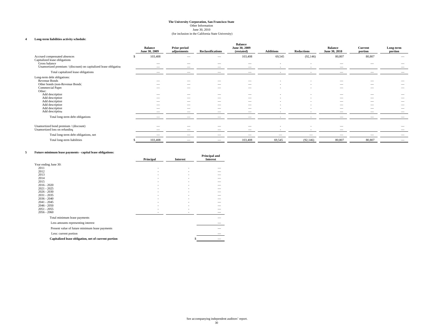(for inclusion in the California State University)

#### **4 Long-term liabilities activity schedule:**

|                                                                                   | <b>Balance</b><br>June 30, 2009 | Prior period<br>adjustments | <b>Reclassifications</b> | <b>Balance</b><br>June 30, 2009<br>(restated) | <b>Additions</b> | <b>Reductions</b>        | <b>Balance</b><br>June 30, 2010 | Current<br>portion | Long-term<br>portion |
|-----------------------------------------------------------------------------------|---------------------------------|-----------------------------|--------------------------|-----------------------------------------------|------------------|--------------------------|---------------------------------|--------------------|----------------------|
| Accrued compensated absences<br>Capitalized lease obligations                     | 103,408                         |                             |                          | 103,408                                       | 69,545           | (92, 146)                | 80,807                          | 80,807             |                      |
| Gross balance<br>Unamortized premium / (discount) on capitalized lease obligation |                                 |                             |                          | $\hspace{0.05cm}$<br>$\overline{\phantom{a}}$ | $\sim$           | $\overline{\phantom{a}}$ | --                              |                    |                      |
| Total capitalized lease obligations                                               | $\overline{\phantom{a}}$        |                             |                          |                                               |                  |                          |                                 |                    |                      |
| Long-term debt obligations:<br>Revenue Bonds                                      |                                 |                             |                          | -                                             |                  |                          |                                 |                    |                      |
| Other bonds (non-Revenue Bonds)                                                   |                                 | -                           |                          |                                               |                  |                          | --                              |                    |                      |
| Commercial Paper<br>Other:                                                        |                                 |                             |                          | –                                             |                  |                          | $\overline{\phantom{a}}$        |                    |                      |
| Add description                                                                   |                                 |                             |                          | _                                             |                  |                          |                                 |                    |                      |
| Add description<br>Add description                                                |                                 | -                           |                          | $\overline{\phantom{m}}$                      |                  |                          | $\overline{\phantom{a}}$        | -                  |                      |
| Add description                                                                   |                                 |                             | $\overline{\phantom{a}}$ | $\overline{\phantom{a}}$                      |                  |                          |                                 |                    |                      |
| Add description                                                                   |                                 |                             |                          | -                                             |                  |                          |                                 |                    |                      |
| Add description                                                                   | --                              |                             |                          |                                               |                  |                          |                                 |                    |                      |
| Total long-term debt obligations                                                  |                                 |                             |                          |                                               |                  |                          |                                 |                    |                      |
| Unamortized bond premium / (discount)<br>Unamortized loss on refunding            | $\overline{\phantom{a}}$        |                             |                          |                                               |                  |                          |                                 |                    |                      |
| Total long-term debt obligations, net                                             |                                 |                             |                          |                                               |                  |                          |                                 |                    |                      |
| Total long-term liabilities                                                       | 103,408                         |                             |                          | 103,408                                       | 69,545           | (92, 146)                | 80,807                          | 80,807             |                      |

#### **5 Future minimum lease payments - capital lease obligations:**

| r ann c'imminium rease payments - capriai rease companions. |           |                 | <b>Principal and</b> |
|-------------------------------------------------------------|-----------|-----------------|----------------------|
|                                                             | Principal | <b>Interest</b> | <b>Interest</b>      |
| Year ending June 30:                                        |           |                 |                      |
| 2011                                                        |           |                 |                      |
| 2012                                                        |           |                 |                      |
| 2013                                                        |           |                 |                      |
| 2014                                                        |           |                 |                      |
| 2015                                                        |           |                 |                      |
| $2016 - 2020$                                               |           |                 |                      |
| $2021 - 2025$                                               |           |                 |                      |
| $2026 - 2030$<br>$2031 - 2035$                              |           |                 |                      |
| $2036 - 2040$                                               |           |                 |                      |
| $2041 - 2045$                                               |           |                 |                      |
| $2046 - 2050$                                               |           |                 |                      |
| $2051 - 2055$                                               |           |                 |                      |
| $2056 - 2060$                                               |           |                 |                      |
| Total minimum lease payments                                |           |                 |                      |
|                                                             |           |                 |                      |
| Less amounts representing interest                          |           |                 |                      |
| Present value of future minimum lease payments              |           |                 |                      |
| Less: current portion                                       |           |                 |                      |
| Capitalized lease obligation, net of current portion        |           |                 |                      |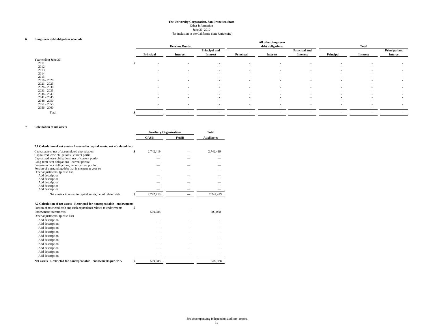(for inclusion in the California State University) June 30, 2010

#### **6 Long-term debt obligation schedule**

| Long-term debt obligation schedule |    |                          |                          |                                  |                          | All other long-term      |                                         |                          |          |                                         |
|------------------------------------|----|--------------------------|--------------------------|----------------------------------|--------------------------|--------------------------|-----------------------------------------|--------------------------|----------|-----------------------------------------|
|                                    |    |                          | <b>Revenue Bonds</b>     |                                  |                          | debt obligations         |                                         |                          | Total    |                                         |
|                                    |    | Principal                | Interest                 | Principal and<br><b>Interest</b> | Principal                | <b>Interest</b>          | <b>Principal and</b><br><b>Interest</b> | Principal                | Interest | <b>Principal and</b><br><b>Interest</b> |
|                                    |    |                          |                          |                                  |                          |                          |                                         |                          |          |                                         |
| Year ending June 30:               |    |                          |                          |                                  |                          |                          |                                         |                          |          |                                         |
| 2011                               | -8 | $\sim$                   | $\sim$                   | $\sim$                           | $\sim$                   | $\overline{\phantom{a}}$ | $\sim$                                  | $\sim$                   | $\sim$   | $\sim$                                  |
| 2012                               |    | $\sim$                   | $\overline{\phantom{a}}$ | $\overline{\phantom{0}}$         | $\overline{\phantom{a}}$ |                          | $\sim$                                  | ۰.                       |          | $\overline{\phantom{a}}$                |
| 2013                               |    | $\sim$                   | $\sim$                   | $\sim$                           | $\overline{\phantom{a}}$ | $\sim$                   | $\sim$                                  | $\sim$                   | $\sim$   | $\sim$                                  |
| 2014                               |    | $\sim$                   | $\sim$                   | $\sim$                           | $\sim$                   | $\sim$                   | $\sim$                                  | $\sim$                   | $\sim$   | $\sim$                                  |
| 2015                               |    | $\sim$                   | $\sim$                   | $\overline{\phantom{a}}$         | $\overline{\phantom{a}}$ | $\sim$                   | $\sim$                                  | $\sim$                   | $\sim$   | $\sim$                                  |
| $2016 - 2020$                      |    | $\overline{\phantom{a}}$ | $\sim$                   | $\sim$                           | $\sim$                   | $\sim$                   | $\sim$                                  | $\sim$                   | $\sim$   | $\sim$                                  |
| $2021 - 2025$                      |    | $\sim$                   | $\sim$                   | $\sim$                           | $\overline{\phantom{a}}$ | $\sim$                   | $\sim$                                  | $\sim$                   | $\sim$   | $\sim$                                  |
| $2026 - 2030$                      |    | $\sim$                   | $\sim$                   | $\sim$                           | $\sim$                   | $\sim$                   | $\sim$                                  | $\overline{\phantom{a}}$ | $\sim$   | $\sim$                                  |
| $2031 - 2035$                      |    | $\sim$                   | $\sim$                   | $\sim$                           | $\sim$                   | $\sim$                   |                                         | $\overline{\phantom{a}}$ | $\sim$   | $\sim$                                  |
| $2036 - 2040$                      |    | $\overline{\phantom{a}}$ | $\sim$                   | $\sim$                           | $\overline{\phantom{a}}$ | $\overline{\phantom{a}}$ | $\sim$                                  | $\overline{\phantom{a}}$ | $\sim$   | $\overline{\phantom{a}}$                |
| $2041 - 2045$                      |    | $\sim$                   | $\sim$                   | $\sim$                           | $\overline{\phantom{a}}$ | $\sim$                   | $\sim$                                  | $\overline{\phantom{a}}$ | $\sim$   | $\sim$                                  |
| $2046 - 2050$                      |    |                          | $\sim$                   | $\sim$                           |                          |                          | $\sim$                                  |                          |          |                                         |
| $2051 - 2055$                      |    | $\sim$                   |                          |                                  | $\overline{\phantom{a}}$ | $\overline{\phantom{a}}$ |                                         | $\overline{\phantom{a}}$ | $\sim$   | $\overline{\phantom{a}}$                |
|                                    |    | $\sim$                   | $\sim$                   | $\sim$                           | $\sim$                   | $\sim$                   | $\sim$                                  | $\sim$                   | $\sim$   | $\sim$                                  |
| $2056 - 2060$                      |    |                          | $\overline{\phantom{a}}$ |                                  |                          |                          |                                         |                          |          |                                         |
| Total                              |    |                          |                          |                                  |                          |                          |                                         |                          |          |                                         |

#### **7 Calculation of net assets**

|                                                                                                               | <b>Auxiliary Organizations</b> |             | Total              |  |
|---------------------------------------------------------------------------------------------------------------|--------------------------------|-------------|--------------------|--|
|                                                                                                               | <b>GASB</b>                    | <b>FASB</b> | <b>Auxiliaries</b> |  |
| 7.1 Calculation of net assets - Invested in capital assets, net of related debt                               |                                |             |                    |  |
| Capital assets, net of accumulated depreciation                                                               | \$<br>2,742,419                |             | 2,742,419          |  |
| Capitalized lease obligations - current portion                                                               |                                |             |                    |  |
| Capitalized lease obligations, net of current portio                                                          |                                |             |                    |  |
| Long-term debt obligations - current portion                                                                  |                                |             |                    |  |
| Long-term debt obligations, net of current portion<br>Portion of outstanding debt that is unspent at year-en- |                                |             |                    |  |
| Other adjustments: (please list)                                                                              |                                |             |                    |  |
| Add description                                                                                               |                                |             |                    |  |
| Add description                                                                                               |                                |             |                    |  |
| Add description                                                                                               |                                |             |                    |  |
| Add description                                                                                               |                                |             |                    |  |
| Add description                                                                                               |                                |             |                    |  |
| Net assets - invested in capital assets, net of related debt                                                  | 2,742,419                      |             | 2,742,419          |  |
|                                                                                                               |                                |             |                    |  |
| 7.2 Calculation of net assets - Restricted for nonexpendable - endowments                                     |                                |             |                    |  |
| Portion of restricted cash and cash equivalents related to endowments                                         | \$                             |             |                    |  |
| Endowment investments                                                                                         | 509,088                        |             | 509,088            |  |
| Other adjustments: (please list)                                                                              |                                |             |                    |  |
| Add description                                                                                               |                                |             |                    |  |
| Add description                                                                                               |                                |             |                    |  |
| Add description                                                                                               |                                |             |                    |  |
| Add description                                                                                               |                                |             |                    |  |
| Add description                                                                                               |                                |             |                    |  |
| Add description                                                                                               |                                |             |                    |  |
| Add description                                                                                               |                                |             |                    |  |
| Add description                                                                                               |                                |             |                    |  |
| Add description                                                                                               |                                |             |                    |  |
| Add description                                                                                               |                                |             |                    |  |
| Net assets - Restricted for nonexpendable - endowments per SNA                                                | \$<br>509,088                  |             | 509,088            |  |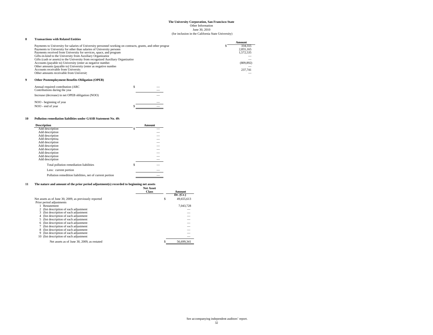June 30, 2010

(for inclusion in the California State University)

#### **8 Transactions with Related Entities**

|                                                                                                             |  | Amount     |
|-------------------------------------------------------------------------------------------------------------|--|------------|
| Payments to University for salaries of University personnel working on contracts, grants, and other program |  | 334.555    |
| Payments to University for other than salaries of University personn                                        |  | 2,855,165  |
| Payments received from University for services, space, and program                                          |  | 1,572,535  |
| Gifts-in-kind to the University from Auxiliary Organization                                                 |  |            |
| Gifts (cash or assets) to the University from recognized Auxiliary Organization                             |  |            |
| Accounts (payable to) University (enter as negative number                                                  |  | (809, 892) |
| Other amounts (payable to) University (enter as negative number                                             |  |            |
| Accounts receivable from University                                                                         |  | 237,741    |
| Other amounts receivable from University                                                                    |  |            |
| <b>Other Postemployment Benefits Obligation (OPEB)</b>                                                      |  |            |
| Annual required contribution (ARC                                                                           |  |            |
| Contributions during the year                                                                               |  |            |

| Increase (decrease) in net OPEB obligation (NOO) |  |
|--------------------------------------------------|--|
| NOO - beginning of year                          |  |
| NOO - end of year                                |  |

#### **10 Pollution remediation liabilities under GASB Statement No. 49:**

| <b>Description</b>                                       |   | Amount |
|----------------------------------------------------------|---|--------|
| Add description                                          |   |        |
| Add description                                          |   |        |
| Add description                                          |   |        |
| Add description                                          |   |        |
| Add description                                          |   |        |
| Add description                                          |   |        |
| Add description                                          |   |        |
| Add description                                          |   |        |
| Add description                                          |   |        |
| Add description                                          |   |        |
| Total pollution remediation liabilities                  | S |        |
| Less: current portion                                    |   |        |
| Pollution remedition liabilities, net of current portion |   |        |
|                                                          |   |        |

#### **11 The nature and amount of the prior period adjustment(s) recorded to beginning net assets Net Asset**

| <b>Net Asset</b><br><b>Class</b> | Amount     |  |
|----------------------------------|------------|--|
|                                  | Dr. (Cr.)  |  |
| S                                | 49,655,613 |  |
|                                  |            |  |
|                                  | 7,043,728  |  |
|                                  |            |  |
|                                  |            |  |
|                                  |            |  |
|                                  |            |  |
|                                  |            |  |
|                                  |            |  |
|                                  |            |  |
|                                  |            |  |
|                                  |            |  |
|                                  | 56,699,341 |  |
|                                  |            |  |